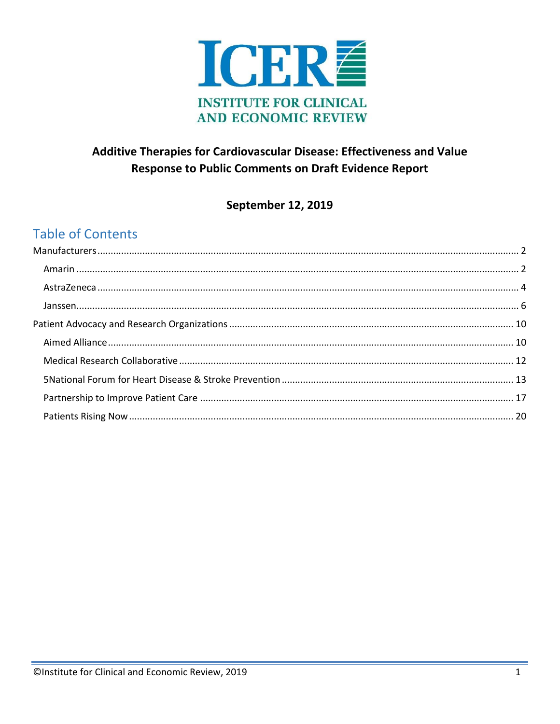

## Additive Therapies for Cardiovascular Disease: Effectiveness and Value **Response to Public Comments on Draft Evidence Report**

## September 12, 2019

## **Table of Contents**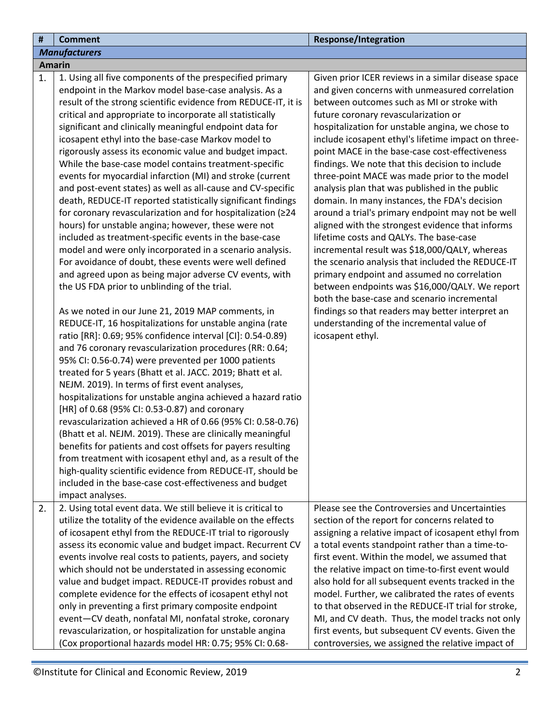<span id="page-1-1"></span><span id="page-1-0"></span>

| #      | <b>Comment</b>                                                                                                                                                                                                                                                                                                                                                                                                                                                                                                                                                                                                                                                                                                                                                                                                                                                                                                                                                                                                                                                                                                                                                                                                                                                                                                                                                                                                                                                                                                                                                                                                                                                                                                                                                                                                                                                                                                                                                                                                                                                                                               | <b>Response/Integration</b>                                                                                                                                                                                                                                                                                                                                                                                                                                                                                                                                                                                                                                                                                                                                                                                                                                                                                                                                                                                                                                                                                                                     |
|--------|--------------------------------------------------------------------------------------------------------------------------------------------------------------------------------------------------------------------------------------------------------------------------------------------------------------------------------------------------------------------------------------------------------------------------------------------------------------------------------------------------------------------------------------------------------------------------------------------------------------------------------------------------------------------------------------------------------------------------------------------------------------------------------------------------------------------------------------------------------------------------------------------------------------------------------------------------------------------------------------------------------------------------------------------------------------------------------------------------------------------------------------------------------------------------------------------------------------------------------------------------------------------------------------------------------------------------------------------------------------------------------------------------------------------------------------------------------------------------------------------------------------------------------------------------------------------------------------------------------------------------------------------------------------------------------------------------------------------------------------------------------------------------------------------------------------------------------------------------------------------------------------------------------------------------------------------------------------------------------------------------------------------------------------------------------------------------------------------------------------|-------------------------------------------------------------------------------------------------------------------------------------------------------------------------------------------------------------------------------------------------------------------------------------------------------------------------------------------------------------------------------------------------------------------------------------------------------------------------------------------------------------------------------------------------------------------------------------------------------------------------------------------------------------------------------------------------------------------------------------------------------------------------------------------------------------------------------------------------------------------------------------------------------------------------------------------------------------------------------------------------------------------------------------------------------------------------------------------------------------------------------------------------|
|        | <b>Manufacturers</b>                                                                                                                                                                                                                                                                                                                                                                                                                                                                                                                                                                                                                                                                                                                                                                                                                                                                                                                                                                                                                                                                                                                                                                                                                                                                                                                                                                                                                                                                                                                                                                                                                                                                                                                                                                                                                                                                                                                                                                                                                                                                                         |                                                                                                                                                                                                                                                                                                                                                                                                                                                                                                                                                                                                                                                                                                                                                                                                                                                                                                                                                                                                                                                                                                                                                 |
| Amarin |                                                                                                                                                                                                                                                                                                                                                                                                                                                                                                                                                                                                                                                                                                                                                                                                                                                                                                                                                                                                                                                                                                                                                                                                                                                                                                                                                                                                                                                                                                                                                                                                                                                                                                                                                                                                                                                                                                                                                                                                                                                                                                              |                                                                                                                                                                                                                                                                                                                                                                                                                                                                                                                                                                                                                                                                                                                                                                                                                                                                                                                                                                                                                                                                                                                                                 |
| 1.     | 1. Using all five components of the prespecified primary<br>endpoint in the Markov model base-case analysis. As a<br>result of the strong scientific evidence from REDUCE-IT, it is<br>critical and appropriate to incorporate all statistically<br>significant and clinically meaningful endpoint data for<br>icosapent ethyl into the base-case Markov model to<br>rigorously assess its economic value and budget impact.<br>While the base-case model contains treatment-specific<br>events for myocardial infarction (MI) and stroke (current<br>and post-event states) as well as all-cause and CV-specific<br>death, REDUCE-IT reported statistically significant findings<br>for coronary revascularization and for hospitalization (≥24<br>hours) for unstable angina; however, these were not<br>included as treatment-specific events in the base-case<br>model and were only incorporated in a scenario analysis.<br>For avoidance of doubt, these events were well defined<br>and agreed upon as being major adverse CV events, with<br>the US FDA prior to unblinding of the trial.<br>As we noted in our June 21, 2019 MAP comments, in<br>REDUCE-IT, 16 hospitalizations for unstable angina (rate<br>ratio [RR]: 0.69; 95% confidence interval [CI]: 0.54-0.89)<br>and 76 coronary revascularization procedures (RR: 0.64;<br>95% CI: 0.56-0.74) were prevented per 1000 patients<br>treated for 5 years (Bhatt et al. JACC. 2019; Bhatt et al.<br>NEJM. 2019). In terms of first event analyses,<br>hospitalizations for unstable angina achieved a hazard ratio<br>[HR] of 0.68 (95% CI: 0.53-0.87) and coronary<br>revascularization achieved a HR of 0.66 (95% CI: 0.58-0.76)<br>(Bhatt et al. NEJM. 2019). These are clinically meaningful<br>benefits for patients and cost offsets for payers resulting<br>from treatment with icosapent ethyl and, as a result of the<br>high-quality scientific evidence from REDUCE-IT, should be<br>included in the base-case cost-effectiveness and budget<br>impact analyses.<br>2. Using total event data. We still believe it is critical to | Given prior ICER reviews in a similar disease space<br>and given concerns with unmeasured correlation<br>between outcomes such as MI or stroke with<br>future coronary revascularization or<br>hospitalization for unstable angina, we chose to<br>include icosapent ethyl's lifetime impact on three-<br>point MACE in the base-case cost-effectiveness<br>findings. We note that this decision to include<br>three-point MACE was made prior to the model<br>analysis plan that was published in the public<br>domain. In many instances, the FDA's decision<br>around a trial's primary endpoint may not be well<br>aligned with the strongest evidence that informs<br>lifetime costs and QALYs. The base-case<br>incremental result was \$18,000/QALY, whereas<br>the scenario analysis that included the REDUCE-IT<br>primary endpoint and assumed no correlation<br>between endpoints was \$16,000/QALY. We report<br>both the base-case and scenario incremental<br>findings so that readers may better interpret an<br>understanding of the incremental value of<br>icosapent ethyl.<br>Please see the Controversies and Uncertainties |
| 2.     | utilize the totality of the evidence available on the effects<br>of icosapent ethyl from the REDUCE-IT trial to rigorously<br>assess its economic value and budget impact. Recurrent CV<br>events involve real costs to patients, payers, and society<br>which should not be understated in assessing economic<br>value and budget impact. REDUCE-IT provides robust and<br>complete evidence for the effects of icosapent ethyl not<br>only in preventing a first primary composite endpoint<br>event-CV death, nonfatal MI, nonfatal stroke, coronary<br>revascularization, or hospitalization for unstable angina<br>(Cox proportional hazards model HR: 0.75; 95% CI: 0.68-                                                                                                                                                                                                                                                                                                                                                                                                                                                                                                                                                                                                                                                                                                                                                                                                                                                                                                                                                                                                                                                                                                                                                                                                                                                                                                                                                                                                                              | section of the report for concerns related to<br>assigning a relative impact of icosapent ethyl from<br>a total events standpoint rather than a time-to-<br>first event. Within the model, we assumed that<br>the relative impact on time-to-first event would<br>also hold for all subsequent events tracked in the<br>model. Further, we calibrated the rates of events<br>to that observed in the REDUCE-IT trial for stroke,<br>MI, and CV death. Thus, the model tracks not only<br>first events, but subsequent CV events. Given the<br>controversies, we assigned the relative impact of                                                                                                                                                                                                                                                                                                                                                                                                                                                                                                                                                 |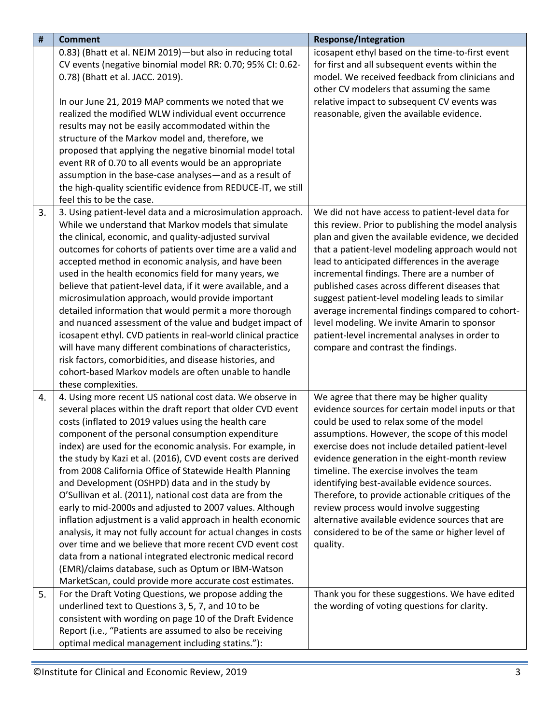| #  | <b>Comment</b>                                                                                                                                                                                                                                                                                                                                                                                                                                                                                                                                                                                                                                                                                                                                                                                                                                                                                                                                                                          | <b>Response/Integration</b>                                                                                                                                                                                                                                                                                                                                                                                                                                                                                                                                                                                       |
|----|-----------------------------------------------------------------------------------------------------------------------------------------------------------------------------------------------------------------------------------------------------------------------------------------------------------------------------------------------------------------------------------------------------------------------------------------------------------------------------------------------------------------------------------------------------------------------------------------------------------------------------------------------------------------------------------------------------------------------------------------------------------------------------------------------------------------------------------------------------------------------------------------------------------------------------------------------------------------------------------------|-------------------------------------------------------------------------------------------------------------------------------------------------------------------------------------------------------------------------------------------------------------------------------------------------------------------------------------------------------------------------------------------------------------------------------------------------------------------------------------------------------------------------------------------------------------------------------------------------------------------|
|    | 0.83) (Bhatt et al. NEJM 2019)-but also in reducing total<br>CV events (negative binomial model RR: 0.70; 95% CI: 0.62-<br>0.78) (Bhatt et al. JACC. 2019).<br>In our June 21, 2019 MAP comments we noted that we                                                                                                                                                                                                                                                                                                                                                                                                                                                                                                                                                                                                                                                                                                                                                                       | icosapent ethyl based on the time-to-first event<br>for first and all subsequent events within the<br>model. We received feedback from clinicians and<br>other CV modelers that assuming the same<br>relative impact to subsequent CV events was                                                                                                                                                                                                                                                                                                                                                                  |
|    | realized the modified WLW individual event occurrence<br>results may not be easily accommodated within the<br>structure of the Markov model and, therefore, we<br>proposed that applying the negative binomial model total<br>event RR of 0.70 to all events would be an appropriate<br>assumption in the base-case analyses-and as a result of<br>the high-quality scientific evidence from REDUCE-IT, we still<br>feel this to be the case.                                                                                                                                                                                                                                                                                                                                                                                                                                                                                                                                           | reasonable, given the available evidence.                                                                                                                                                                                                                                                                                                                                                                                                                                                                                                                                                                         |
| 3. | 3. Using patient-level data and a microsimulation approach.<br>While we understand that Markov models that simulate<br>the clinical, economic, and quality-adjusted survival<br>outcomes for cohorts of patients over time are a valid and<br>accepted method in economic analysis, and have been<br>used in the health economics field for many years, we<br>believe that patient-level data, if it were available, and a<br>microsimulation approach, would provide important<br>detailed information that would permit a more thorough<br>and nuanced assessment of the value and budget impact of<br>icosapent ethyl. CVD patients in real-world clinical practice<br>will have many different combinations of characteristics,<br>risk factors, comorbidities, and disease histories, and<br>cohort-based Markov models are often unable to handle<br>these complexities.                                                                                                          | We did not have access to patient-level data for<br>this review. Prior to publishing the model analysis<br>plan and given the available evidence, we decided<br>that a patient-level modeling approach would not<br>lead to anticipated differences in the average<br>incremental findings. There are a number of<br>published cases across different diseases that<br>suggest patient-level modeling leads to similar<br>average incremental findings compared to cohort-<br>level modeling. We invite Amarin to sponsor<br>patient-level incremental analyses in order to<br>compare and contrast the findings. |
| 4. | 4. Using more recent US national cost data. We observe in<br>several places within the draft report that older CVD event<br>costs (inflated to 2019 values using the health care<br>component of the personal consumption expenditure<br>index) are used for the economic analysis. For example, in<br>the study by Kazi et al. (2016), CVD event costs are derived<br>from 2008 California Office of Statewide Health Planning<br>and Development (OSHPD) data and in the study by<br>O'Sullivan et al. (2011), national cost data are from the<br>early to mid-2000s and adjusted to 2007 values. Although<br>inflation adjustment is a valid approach in health economic<br>analysis, it may not fully account for actual changes in costs<br>over time and we believe that more recent CVD event cost<br>data from a national integrated electronic medical record<br>(EMR)/claims database, such as Optum or IBM-Watson<br>MarketScan, could provide more accurate cost estimates. | We agree that there may be higher quality<br>evidence sources for certain model inputs or that<br>could be used to relax some of the model<br>assumptions. However, the scope of this model<br>exercise does not include detailed patient-level<br>evidence generation in the eight-month review<br>timeline. The exercise involves the team<br>identifying best-available evidence sources.<br>Therefore, to provide actionable critiques of the<br>review process would involve suggesting<br>alternative available evidence sources that are<br>considered to be of the same or higher level of<br>quality.    |
| 5. | For the Draft Voting Questions, we propose adding the<br>underlined text to Questions 3, 5, 7, and 10 to be<br>consistent with wording on page 10 of the Draft Evidence<br>Report (i.e., "Patients are assumed to also be receiving                                                                                                                                                                                                                                                                                                                                                                                                                                                                                                                                                                                                                                                                                                                                                     | Thank you for these suggestions. We have edited<br>the wording of voting questions for clarity.                                                                                                                                                                                                                                                                                                                                                                                                                                                                                                                   |
|    | optimal medical management including statins."):                                                                                                                                                                                                                                                                                                                                                                                                                                                                                                                                                                                                                                                                                                                                                                                                                                                                                                                                        |                                                                                                                                                                                                                                                                                                                                                                                                                                                                                                                                                                                                                   |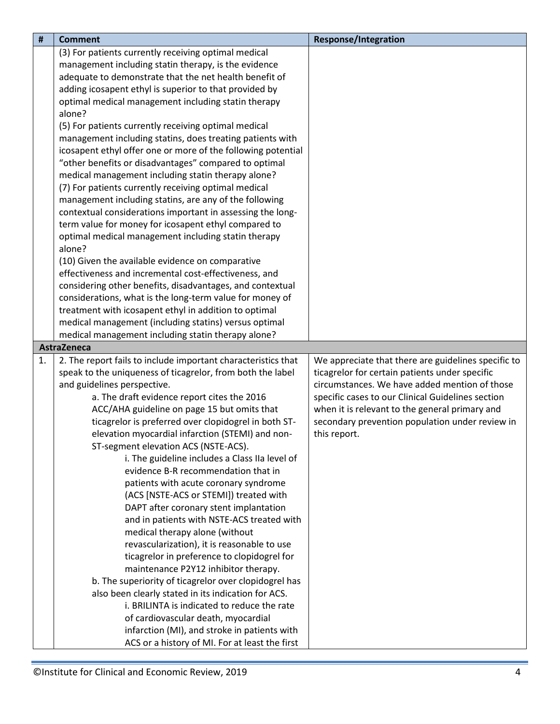<span id="page-3-0"></span>

| #  | <b>Comment</b>                                                | <b>Response/Integration</b>                         |
|----|---------------------------------------------------------------|-----------------------------------------------------|
|    | (3) For patients currently receiving optimal medical          |                                                     |
|    | management including statin therapy, is the evidence          |                                                     |
|    | adequate to demonstrate that the net health benefit of        |                                                     |
|    | adding icosapent ethyl is superior to that provided by        |                                                     |
|    | optimal medical management including statin therapy           |                                                     |
|    | alone?                                                        |                                                     |
|    | (5) For patients currently receiving optimal medical          |                                                     |
|    | management including statins, does treating patients with     |                                                     |
|    | icosapent ethyl offer one or more of the following potential  |                                                     |
|    | "other benefits or disadvantages" compared to optimal         |                                                     |
|    | medical management including statin therapy alone?            |                                                     |
|    | (7) For patients currently receiving optimal medical          |                                                     |
|    | management including statins, are any of the following        |                                                     |
|    | contextual considerations important in assessing the long-    |                                                     |
|    | term value for money for icosapent ethyl compared to          |                                                     |
|    | optimal medical management including statin therapy           |                                                     |
|    | alone?                                                        |                                                     |
|    | (10) Given the available evidence on comparative              |                                                     |
|    | effectiveness and incremental cost-effectiveness, and         |                                                     |
|    | considering other benefits, disadvantages, and contextual     |                                                     |
|    | considerations, what is the long-term value for money of      |                                                     |
|    | treatment with icosapent ethyl in addition to optimal         |                                                     |
|    | medical management (including statins) versus optimal         |                                                     |
|    | medical management including statin therapy alone?            |                                                     |
|    | AstraZeneca                                                   |                                                     |
| 1. | 2. The report fails to include important characteristics that | We appreciate that there are guidelines specific to |
|    | speak to the uniqueness of ticagrelor, from both the label    | ticagrelor for certain patients under specific      |
|    | and guidelines perspective.                                   | circumstances. We have added mention of those       |
|    | a. The draft evidence report cites the 2016                   | specific cases to our Clinical Guidelines section   |
|    | ACC/AHA guideline on page 15 but omits that                   | when it is relevant to the general primary and      |
|    | ticagrelor is preferred over clopidogrel in both ST-          | secondary prevention population under review in     |
|    | elevation myocardial infarction (STEMI) and non-              | this report.                                        |
|    | ST-segment elevation ACS (NSTE-ACS).                          |                                                     |
|    | i. The guideline includes a Class IIa level of                |                                                     |
|    | evidence B-R recommendation that in                           |                                                     |
|    | patients with acute coronary syndrome                         |                                                     |
|    | (ACS [NSTE-ACS or STEMI]) treated with                        |                                                     |
|    | DAPT after coronary stent implantation                        |                                                     |
|    | and in patients with NSTE-ACS treated with                    |                                                     |
|    | medical therapy alone (without                                |                                                     |
|    | revascularization), it is reasonable to use                   |                                                     |
|    | ticagrelor in preference to clopidogrel for                   |                                                     |
|    | maintenance P2Y12 inhibitor therapy.                          |                                                     |
|    | b. The superiority of ticagrelor over clopidogrel has         |                                                     |
|    | also been clearly stated in its indication for ACS.           |                                                     |
|    | i. BRILINTA is indicated to reduce the rate                   |                                                     |
|    | of cardiovascular death, myocardial                           |                                                     |
|    | infarction (MI), and stroke in patients with                  |                                                     |
|    | ACS or a history of MI. For at least the first                |                                                     |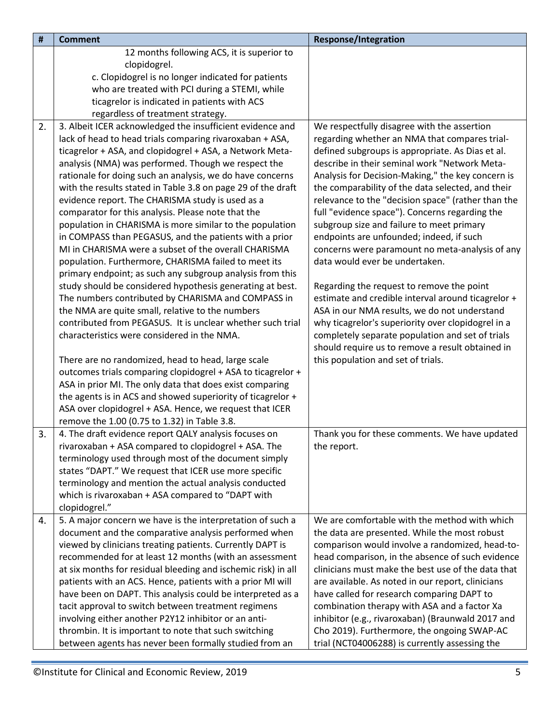| $\#$ | <b>Comment</b>                                                | <b>Response/Integration</b>                        |
|------|---------------------------------------------------------------|----------------------------------------------------|
|      | 12 months following ACS, it is superior to                    |                                                    |
|      | clopidogrel.                                                  |                                                    |
|      | c. Clopidogrel is no longer indicated for patients            |                                                    |
|      | who are treated with PCI during a STEMI, while                |                                                    |
|      | ticagrelor is indicated in patients with ACS                  |                                                    |
|      | regardless of treatment strategy.                             |                                                    |
| 2.   | 3. Albeit ICER acknowledged the insufficient evidence and     | We respectfully disagree with the assertion        |
|      | lack of head to head trials comparing rivaroxaban + ASA,      | regarding whether an NMA that compares trial-      |
|      | ticagrelor + ASA, and clopidogrel + ASA, a Network Meta-      | defined subgroups is appropriate. As Dias et al.   |
|      | analysis (NMA) was performed. Though we respect the           | describe in their seminal work "Network Meta-      |
|      | rationale for doing such an analysis, we do have concerns     | Analysis for Decision-Making," the key concern is  |
|      | with the results stated in Table 3.8 on page 29 of the draft  | the comparability of the data selected, and their  |
|      | evidence report. The CHARISMA study is used as a              | relevance to the "decision space" (rather than the |
|      | comparator for this analysis. Please note that the            | full "evidence space"). Concerns regarding the     |
|      | population in CHARISMA is more similar to the population      | subgroup size and failure to meet primary          |
|      | in COMPASS than PEGASUS, and the patients with a prior        | endpoints are unfounded; indeed, if such           |
|      | MI in CHARISMA were a subset of the overall CHARISMA          | concerns were paramount no meta-analysis of any    |
|      | population. Furthermore, CHARISMA failed to meet its          | data would ever be undertaken.                     |
|      | primary endpoint; as such any subgroup analysis from this     |                                                    |
|      | study should be considered hypothesis generating at best.     | Regarding the request to remove the point          |
|      | The numbers contributed by CHARISMA and COMPASS in            | estimate and credible interval around ticagrelor + |
|      | the NMA are quite small, relative to the numbers              | ASA in our NMA results, we do not understand       |
|      | contributed from PEGASUS. It is unclear whether such trial    | why ticagrelor's superiority over clopidogrel in a |
|      | characteristics were considered in the NMA.                   | completely separate population and set of trials   |
|      |                                                               | should require us to remove a result obtained in   |
|      | There are no randomized, head to head, large scale            | this population and set of trials.                 |
|      | outcomes trials comparing clopidogrel + ASA to ticagrelor +   |                                                    |
|      | ASA in prior MI. The only data that does exist comparing      |                                                    |
|      | the agents is in ACS and showed superiority of ticagrelor +   |                                                    |
|      | ASA over clopidogrel + ASA. Hence, we request that ICER       |                                                    |
|      | remove the 1.00 (0.75 to 1.32) in Table 3.8.                  |                                                    |
| 3.   | 4. The draft evidence report QALY analysis focuses on         | Thank you for these comments. We have updated      |
|      | rivaroxaban + ASA compared to clopidogrel + ASA. The          | the report.                                        |
|      | terminology used through most of the document simply          |                                                    |
|      | states "DAPT." We request that ICER use more specific         |                                                    |
|      | terminology and mention the actual analysis conducted         |                                                    |
|      | which is rivaroxaban + ASA compared to "DAPT with             |                                                    |
|      | clopidogrel."                                                 |                                                    |
| 4.   | 5. A major concern we have is the interpretation of such a    | We are comfortable with the method with which      |
|      | document and the comparative analysis performed when          | the data are presented. While the most robust      |
|      | viewed by clinicians treating patients. Currently DAPT is     | comparison would involve a randomized, head-to-    |
|      | recommended for at least 12 months (with an assessment        | head comparison, in the absence of such evidence   |
|      | at six months for residual bleeding and ischemic risk) in all | clinicians must make the best use of the data that |
|      | patients with an ACS. Hence, patients with a prior MI will    | are available. As noted in our report, clinicians  |
|      | have been on DAPT. This analysis could be interpreted as a    | have called for research comparing DAPT to         |
|      | tacit approval to switch between treatment regimens           | combination therapy with ASA and a factor Xa       |
|      | involving either another P2Y12 inhibitor or an anti-          | inhibitor (e.g., rivaroxaban) (Braunwald 2017 and  |
|      | thrombin. It is important to note that such switching         | Cho 2019). Furthermore, the ongoing SWAP-AC        |
|      | between agents has never been formally studied from an        | trial (NCT04006288) is currently assessing the     |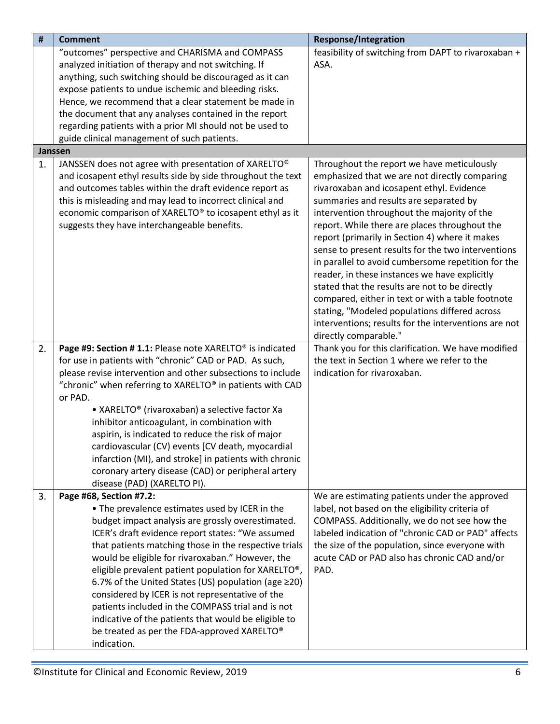<span id="page-5-0"></span>

| $\sharp$ | <b>Comment</b>                                                   | <b>Response/Integration</b>                          |
|----------|------------------------------------------------------------------|------------------------------------------------------|
|          | "outcomes" perspective and CHARISMA and COMPASS                  | feasibility of switching from DAPT to rivaroxaban +  |
|          | analyzed initiation of therapy and not switching. If             | ASA.                                                 |
|          | anything, such switching should be discouraged as it can         |                                                      |
|          | expose patients to undue ischemic and bleeding risks.            |                                                      |
|          | Hence, we recommend that a clear statement be made in            |                                                      |
|          | the document that any analyses contained in the report           |                                                      |
|          | regarding patients with a prior MI should not be used to         |                                                      |
|          | guide clinical management of such patients.                      |                                                      |
|          | Janssen                                                          |                                                      |
| 1.       | JANSSEN does not agree with presentation of XARELTO®             | Throughout the report we have meticulously           |
|          | and icosapent ethyl results side by side throughout the text     | emphasized that we are not directly comparing        |
|          | and outcomes tables within the draft evidence report as          | rivaroxaban and icosapent ethyl. Evidence            |
|          | this is misleading and may lead to incorrect clinical and        | summaries and results are separated by               |
|          | economic comparison of XARELTO® to icosapent ethyl as it         | intervention throughout the majority of the          |
|          | suggests they have interchangeable benefits.                     | report. While there are places throughout the        |
|          |                                                                  | report (primarily in Section 4) where it makes       |
|          |                                                                  | sense to present results for the two interventions   |
|          |                                                                  | in parallel to avoid cumbersome repetition for the   |
|          |                                                                  | reader, in these instances we have explicitly        |
|          |                                                                  | stated that the results are not to be directly       |
|          |                                                                  | compared, either in text or with a table footnote    |
|          |                                                                  | stating, "Modeled populations differed across        |
|          |                                                                  | interventions; results for the interventions are not |
|          |                                                                  | directly comparable."                                |
| 2.       | Page #9: Section # 1.1: Please note XARELTO® is indicated        | Thank you for this clarification. We have modified   |
|          | for use in patients with "chronic" CAD or PAD. As such,          | the text in Section 1 where we refer to the          |
|          | please revise intervention and other subsections to include      | indication for rivaroxaban.                          |
|          | "chronic" when referring to XARELTO® in patients with CAD        |                                                      |
|          | or PAD.                                                          |                                                      |
|          | • XARELTO <sup>®</sup> (rivaroxaban) a selective factor Xa       |                                                      |
|          | inhibitor anticoagulant, in combination with                     |                                                      |
|          | aspirin, is indicated to reduce the risk of major                |                                                      |
|          | cardiovascular (CV) events [CV death, myocardial                 |                                                      |
|          | infarction (MI), and stroke] in patients with chronic            |                                                      |
|          | coronary artery disease (CAD) or peripheral artery               |                                                      |
|          | disease (PAD) (XARELTO PI).                                      |                                                      |
| 3.       | Page #68, Section #7.2:                                          | We are estimating patients under the approved        |
|          | . The prevalence estimates used by ICER in the                   | label, not based on the eligibility criteria of      |
|          | budget impact analysis are grossly overestimated.                | COMPASS. Additionally, we do not see how the         |
|          | ICER's draft evidence report states: "We assumed                 | labeled indication of "chronic CAD or PAD" affects   |
|          | that patients matching those in the respective trials            | the size of the population, since everyone with      |
|          | would be eligible for rivaroxaban." However, the                 | acute CAD or PAD also has chronic CAD and/or         |
|          | eligible prevalent patient population for XARELTO <sup>®</sup> , | PAD.                                                 |
|          | 6.7% of the United States (US) population (age ≥20)              |                                                      |
|          | considered by ICER is not representative of the                  |                                                      |
|          | patients included in the COMPASS trial and is not                |                                                      |
|          | indicative of the patients that would be eligible to             |                                                      |
|          | be treated as per the FDA-approved XARELTO®                      |                                                      |
|          | indication.                                                      |                                                      |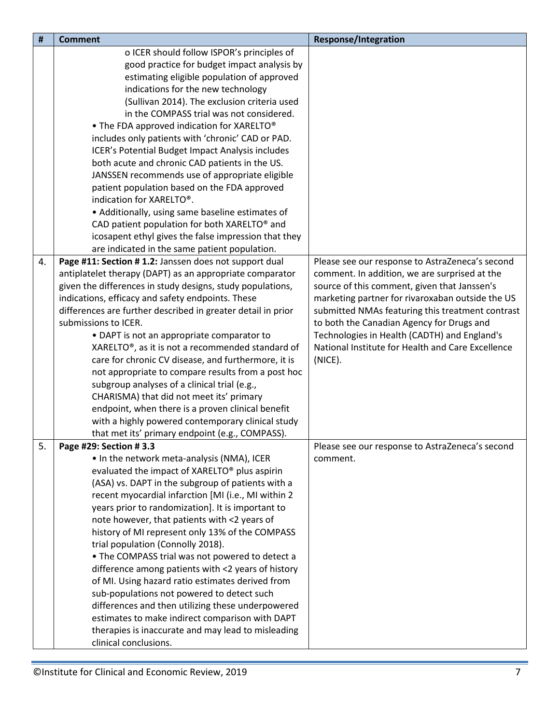| #  | <b>Comment</b>                                                | <b>Response/Integration</b>                       |
|----|---------------------------------------------------------------|---------------------------------------------------|
|    | o ICER should follow ISPOR's principles of                    |                                                   |
|    | good practice for budget impact analysis by                   |                                                   |
|    | estimating eligible population of approved                    |                                                   |
|    | indications for the new technology                            |                                                   |
|    | (Sullivan 2014). The exclusion criteria used                  |                                                   |
|    | in the COMPASS trial was not considered.                      |                                                   |
|    | • The FDA approved indication for XARELTO®                    |                                                   |
|    | includes only patients with 'chronic' CAD or PAD.             |                                                   |
|    | ICER's Potential Budget Impact Analysis includes              |                                                   |
|    | both acute and chronic CAD patients in the US.                |                                                   |
|    | JANSSEN recommends use of appropriate eligible                |                                                   |
|    | patient population based on the FDA approved                  |                                                   |
|    | indication for XARELTO®.                                      |                                                   |
|    | • Additionally, using same baseline estimates of              |                                                   |
|    | CAD patient population for both XARELTO <sup>®</sup> and      |                                                   |
|    | icosapent ethyl gives the false impression that they          |                                                   |
|    | are indicated in the same patient population.                 |                                                   |
| 4. | Page #11: Section #1.2: Janssen does not support dual         | Please see our response to AstraZeneca's second   |
|    | antiplatelet therapy (DAPT) as an appropriate comparator      | comment. In addition, we are surprised at the     |
|    | given the differences in study designs, study populations,    | source of this comment, given that Janssen's      |
|    | indications, efficacy and safety endpoints. These             | marketing partner for rivaroxaban outside the US  |
|    | differences are further described in greater detail in prior  | submitted NMAs featuring this treatment contrast  |
|    | submissions to ICER.                                          | to both the Canadian Agency for Drugs and         |
|    | • DAPT is not an appropriate comparator to                    | Technologies in Health (CADTH) and England's      |
|    | XARELTO <sup>®</sup> , as it is not a recommended standard of | National Institute for Health and Care Excellence |
|    | care for chronic CV disease, and furthermore, it is           | (NICE).                                           |
|    | not appropriate to compare results from a post hoc            |                                                   |
|    | subgroup analyses of a clinical trial (e.g.,                  |                                                   |
|    | CHARISMA) that did not meet its' primary                      |                                                   |
|    | endpoint, when there is a proven clinical benefit             |                                                   |
|    | with a highly powered contemporary clinical study             |                                                   |
|    | that met its' primary endpoint (e.g., COMPASS).               |                                                   |
| 5. | Page #29: Section #3.3                                        | Please see our response to AstraZeneca's second   |
|    | • In the network meta-analysis (NMA), ICER                    | comment.                                          |
|    | evaluated the impact of XARELTO <sup>®</sup> plus aspirin     |                                                   |
|    | (ASA) vs. DAPT in the subgroup of patients with a             |                                                   |
|    | recent myocardial infarction [MI (i.e., MI within 2           |                                                   |
|    | years prior to randomization]. It is important to             |                                                   |
|    | note however, that patients with <2 years of                  |                                                   |
|    | history of MI represent only 13% of the COMPASS               |                                                   |
|    | trial population (Connolly 2018).                             |                                                   |
|    | • The COMPASS trial was not powered to detect a               |                                                   |
|    | difference among patients with <2 years of history            |                                                   |
|    | of MI. Using hazard ratio estimates derived from              |                                                   |
|    | sub-populations not powered to detect such                    |                                                   |
|    | differences and then utilizing these underpowered             |                                                   |
|    | estimates to make indirect comparison with DAPT               |                                                   |
|    | therapies is inaccurate and may lead to misleading            |                                                   |
|    | clinical conclusions.                                         |                                                   |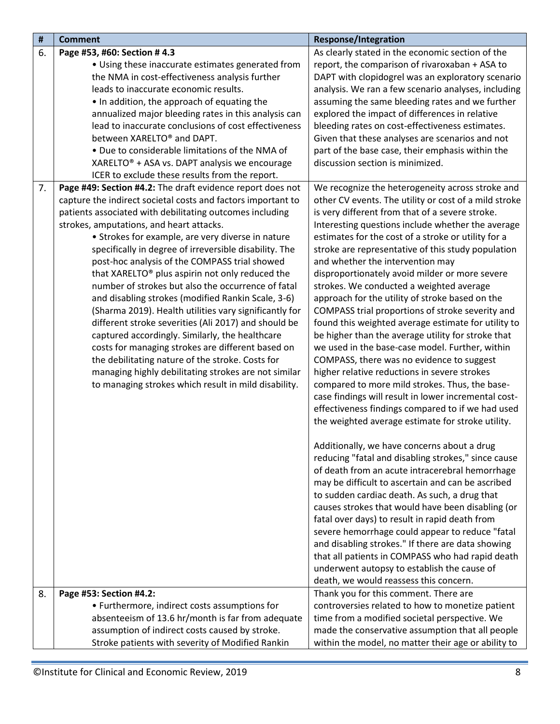| #  | <b>Comment</b>                                                                                     | <b>Response/Integration</b>                                                                       |
|----|----------------------------------------------------------------------------------------------------|---------------------------------------------------------------------------------------------------|
| 6. | Page #53, #60: Section #4.3                                                                        | As clearly stated in the economic section of the                                                  |
|    | • Using these inaccurate estimates generated from                                                  | report, the comparison of rivaroxaban + ASA to                                                    |
|    | the NMA in cost-effectiveness analysis further                                                     | DAPT with clopidogrel was an exploratory scenario                                                 |
|    | leads to inaccurate economic results.                                                              | analysis. We ran a few scenario analyses, including                                               |
|    | • In addition, the approach of equating the                                                        | assuming the same bleeding rates and we further                                                   |
|    | annualized major bleeding rates in this analysis can                                               | explored the impact of differences in relative                                                    |
|    | lead to inaccurate conclusions of cost effectiveness                                               | bleeding rates on cost-effectiveness estimates.                                                   |
|    | between XARELTO <sup>®</sup> and DAPT.                                                             | Given that these analyses are scenarios and not                                                   |
|    | . Due to considerable limitations of the NMA of                                                    | part of the base case, their emphasis within the                                                  |
|    | XARELTO <sup>®</sup> + ASA vs. DAPT analysis we encourage                                          | discussion section is minimized.                                                                  |
|    | ICER to exclude these results from the report.                                                     |                                                                                                   |
| 7. | Page #49: Section #4.2: The draft evidence report does not                                         | We recognize the heterogeneity across stroke and                                                  |
|    | capture the indirect societal costs and factors important to                                       | other CV events. The utility or cost of a mild stroke                                             |
|    | patients associated with debilitating outcomes including                                           | is very different from that of a severe stroke.                                                   |
|    | strokes, amputations, and heart attacks.                                                           | Interesting questions include whether the average                                                 |
|    | • Strokes for example, are very diverse in nature                                                  | estimates for the cost of a stroke or utility for a                                               |
|    | specifically in degree of irreversible disability. The                                             | stroke are representative of this study population                                                |
|    | post-hoc analysis of the COMPASS trial showed                                                      | and whether the intervention may                                                                  |
|    | that XARELTO <sup>®</sup> plus aspirin not only reduced the                                        | disproportionately avoid milder or more severe                                                    |
|    | number of strokes but also the occurrence of fatal                                                 | strokes. We conducted a weighted average                                                          |
|    | and disabling strokes (modified Rankin Scale, 3-6)                                                 | approach for the utility of stroke based on the                                                   |
|    | (Sharma 2019). Health utilities vary significantly for                                             | COMPASS trial proportions of stroke severity and                                                  |
|    | different stroke severities (Ali 2017) and should be                                               | found this weighted average estimate for utility to                                               |
|    | captured accordingly. Similarly, the healthcare                                                    | be higher than the average utility for stroke that                                                |
|    | costs for managing strokes are different based on                                                  | we used in the base-case model. Further, within                                                   |
|    | the debilitating nature of the stroke. Costs for                                                   | COMPASS, there was no evidence to suggest                                                         |
|    | managing highly debilitating strokes are not similar                                               | higher relative reductions in severe strokes                                                      |
|    | to managing strokes which result in mild disability.                                               | compared to more mild strokes. Thus, the base-                                                    |
|    |                                                                                                    | case findings will result in lower incremental cost-                                              |
|    |                                                                                                    | effectiveness findings compared to if we had used                                                 |
|    |                                                                                                    | the weighted average estimate for stroke utility.                                                 |
|    |                                                                                                    |                                                                                                   |
|    |                                                                                                    | Additionally, we have concerns about a drug                                                       |
|    |                                                                                                    | reducing "fatal and disabling strokes," since cause                                               |
|    |                                                                                                    | of death from an acute intracerebral hemorrhage                                                   |
|    |                                                                                                    | may be difficult to ascertain and can be ascribed                                                 |
|    |                                                                                                    | to sudden cardiac death. As such, a drug that                                                     |
|    |                                                                                                    | causes strokes that would have been disabling (or                                                 |
|    |                                                                                                    | fatal over days) to result in rapid death from                                                    |
|    |                                                                                                    | severe hemorrhage could appear to reduce "fatal                                                   |
|    |                                                                                                    | and disabling strokes." If there are data showing                                                 |
|    |                                                                                                    | that all patients in COMPASS who had rapid death                                                  |
|    |                                                                                                    | underwent autopsy to establish the cause of                                                       |
|    |                                                                                                    | death, we would reassess this concern.                                                            |
| 8. | Page #53: Section #4.2:                                                                            | Thank you for this comment. There are                                                             |
|    | • Furthermore, indirect costs assumptions for<br>absenteeism of 13.6 hr/month is far from adequate | controversies related to how to monetize patient<br>time from a modified societal perspective. We |
|    | assumption of indirect costs caused by stroke.                                                     | made the conservative assumption that all people                                                  |
|    | Stroke patients with severity of Modified Rankin                                                   | within the model, no matter their age or ability to                                               |
|    |                                                                                                    |                                                                                                   |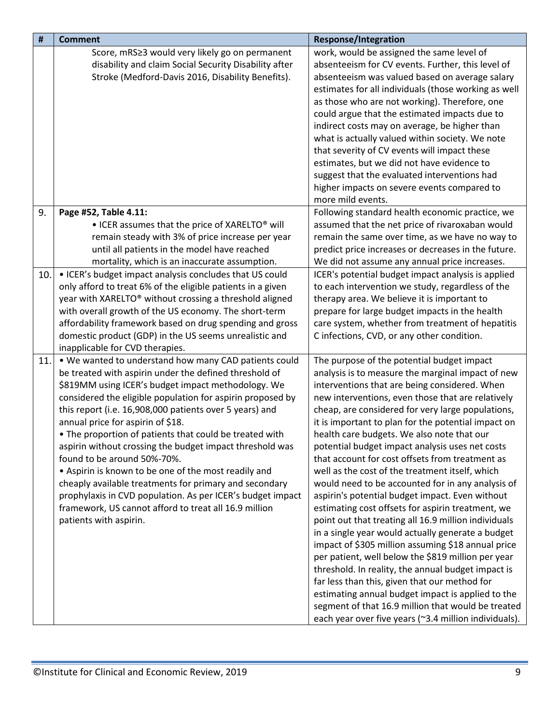| #   | <b>Comment</b>                                              | <b>Response/Integration</b>                           |
|-----|-------------------------------------------------------------|-------------------------------------------------------|
|     | Score, mRS≥3 would very likely go on permanent              | work, would be assigned the same level of             |
|     | disability and claim Social Security Disability after       | absenteeism for CV events. Further, this level of     |
|     | Stroke (Medford-Davis 2016, Disability Benefits).           | absenteeism was valued based on average salary        |
|     |                                                             | estimates for all individuals (those working as well  |
|     |                                                             | as those who are not working). Therefore, one         |
|     |                                                             | could argue that the estimated impacts due to         |
|     |                                                             | indirect costs may on average, be higher than         |
|     |                                                             | what is actually valued within society. We note       |
|     |                                                             | that severity of CV events will impact these          |
|     |                                                             | estimates, but we did not have evidence to            |
|     |                                                             | suggest that the evaluated interventions had          |
|     |                                                             | higher impacts on severe events compared to           |
|     |                                                             | more mild events.                                     |
| 9.  | Page #52, Table 4.11:                                       | Following standard health economic practice, we       |
|     | • ICER assumes that the price of XARELTO <sup>®</sup> will  | assumed that the net price of rivaroxaban would       |
|     | remain steady with 3% of price increase per year            | remain the same over time, as we have no way to       |
|     | until all patients in the model have reached                | predict price increases or decreases in the future.   |
|     | mortality, which is an inaccurate assumption.               | We did not assume any annual price increases.         |
| 10. | • ICER's budget impact analysis concludes that US could     | ICER's potential budget impact analysis is applied    |
|     | only afford to treat 6% of the eligible patients in a given | to each intervention we study, regardless of the      |
|     | year with XARELTO® without crossing a threshold aligned     | therapy area. We believe it is important to           |
|     | with overall growth of the US economy. The short-term       | prepare for large budget impacts in the health        |
|     | affordability framework based on drug spending and gross    | care system, whether from treatment of hepatitis      |
|     | domestic product (GDP) in the US seems unrealistic and      | C infections, CVD, or any other condition.            |
|     | inapplicable for CVD therapies.                             |                                                       |
| 11. | . We wanted to understand how many CAD patients could       | The purpose of the potential budget impact            |
|     | be treated with aspirin under the defined threshold of      | analysis is to measure the marginal impact of new     |
|     | \$819MM using ICER's budget impact methodology. We          | interventions that are being considered. When         |
|     | considered the eligible population for aspirin proposed by  | new interventions, even those that are relatively     |
|     | this report (i.e. 16,908,000 patients over 5 years) and     | cheap, are considered for very large populations,     |
|     | annual price for aspirin of \$18.                           | it is important to plan for the potential impact on   |
|     | • The proportion of patients that could be treated with     | health care budgets. We also note that our            |
|     | aspirin without crossing the budget impact threshold was    | potential budget impact analysis uses net costs       |
|     | found to be around 50%-70%.                                 | that account for cost offsets from treatment as       |
|     | • Aspirin is known to be one of the most readily and        | well as the cost of the treatment itself, which       |
|     | cheaply available treatments for primary and secondary      | would need to be accounted for in any analysis of     |
|     | prophylaxis in CVD population. As per ICER's budget impact  | aspirin's potential budget impact. Even without       |
|     | framework, US cannot afford to treat all 16.9 million       | estimating cost offsets for aspirin treatment, we     |
|     | patients with aspirin.                                      | point out that treating all 16.9 million individuals  |
|     |                                                             | in a single year would actually generate a budget     |
|     |                                                             | impact of \$305 million assuming \$18 annual price    |
|     |                                                             | per patient, well below the \$819 million per year    |
|     |                                                             | threshold. In reality, the annual budget impact is    |
|     |                                                             | far less than this, given that our method for         |
|     |                                                             | estimating annual budget impact is applied to the     |
|     |                                                             | segment of that 16.9 million that would be treated    |
|     |                                                             | each year over five years (~3.4 million individuals). |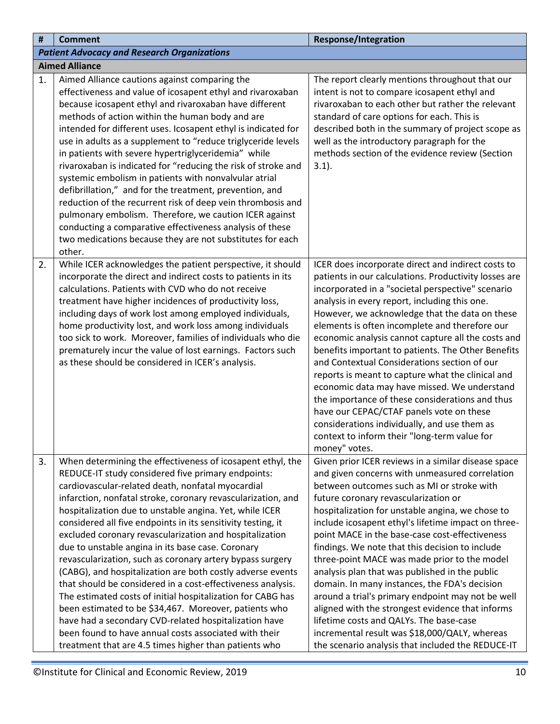<span id="page-9-1"></span><span id="page-9-0"></span>

| $\pmb{\sharp}$        | <b>Comment</b>                                                                                                                                                                                                                                                                                                                                                                                                                                                                                                                                                                                                                                                                                                                                                                                                                                                                                                                                                                | <b>Response/Integration</b>                                                                                                                                                                                                                                                                                                                                                                                                                                                                                                                                                                                                                                                                                                                                                                                              |
|-----------------------|-------------------------------------------------------------------------------------------------------------------------------------------------------------------------------------------------------------------------------------------------------------------------------------------------------------------------------------------------------------------------------------------------------------------------------------------------------------------------------------------------------------------------------------------------------------------------------------------------------------------------------------------------------------------------------------------------------------------------------------------------------------------------------------------------------------------------------------------------------------------------------------------------------------------------------------------------------------------------------|--------------------------------------------------------------------------------------------------------------------------------------------------------------------------------------------------------------------------------------------------------------------------------------------------------------------------------------------------------------------------------------------------------------------------------------------------------------------------------------------------------------------------------------------------------------------------------------------------------------------------------------------------------------------------------------------------------------------------------------------------------------------------------------------------------------------------|
|                       | <b>Patient Advocacy and Research Organizations</b>                                                                                                                                                                                                                                                                                                                                                                                                                                                                                                                                                                                                                                                                                                                                                                                                                                                                                                                            |                                                                                                                                                                                                                                                                                                                                                                                                                                                                                                                                                                                                                                                                                                                                                                                                                          |
| <b>Aimed Alliance</b> |                                                                                                                                                                                                                                                                                                                                                                                                                                                                                                                                                                                                                                                                                                                                                                                                                                                                                                                                                                               |                                                                                                                                                                                                                                                                                                                                                                                                                                                                                                                                                                                                                                                                                                                                                                                                                          |
| 1.                    | Aimed Alliance cautions against comparing the<br>effectiveness and value of icosapent ethyl and rivaroxaban<br>because icosapent ethyl and rivaroxaban have different<br>methods of action within the human body and are<br>intended for different uses. Icosapent ethyl is indicated for<br>use in adults as a supplement to "reduce triglyceride levels<br>in patients with severe hypertriglyceridemia" while<br>rivaroxaban is indicated for "reducing the risk of stroke and<br>systemic embolism in patients with nonvalvular atrial<br>defibrillation," and for the treatment, prevention, and<br>reduction of the recurrent risk of deep vein thrombosis and<br>pulmonary embolism. Therefore, we caution ICER against<br>conducting a comparative effectiveness analysis of these<br>two medications because they are not substitutes for each<br>other.                                                                                                             | The report clearly mentions throughout that our<br>intent is not to compare icosapent ethyl and<br>rivaroxaban to each other but rather the relevant<br>standard of care options for each. This is<br>described both in the summary of project scope as<br>well as the introductory paragraph for the<br>methods section of the evidence review (Section<br>$3.1$ ).                                                                                                                                                                                                                                                                                                                                                                                                                                                     |
| 2.                    | While ICER acknowledges the patient perspective, it should<br>incorporate the direct and indirect costs to patients in its<br>calculations. Patients with CVD who do not receive<br>treatment have higher incidences of productivity loss,<br>including days of work lost among employed individuals,<br>home productivity lost, and work loss among individuals<br>too sick to work. Moreover, families of individuals who die<br>prematurely incur the value of lost earnings. Factors such<br>as these should be considered in ICER's analysis.                                                                                                                                                                                                                                                                                                                                                                                                                            | ICER does incorporate direct and indirect costs to<br>patients in our calculations. Productivity losses are<br>incorporated in a "societal perspective" scenario<br>analysis in every report, including this one.<br>However, we acknowledge that the data on these<br>elements is often incomplete and therefore our<br>economic analysis cannot capture all the costs and<br>benefits important to patients. The Other Benefits<br>and Contextual Considerations section of our<br>reports is meant to capture what the clinical and<br>economic data may have missed. We understand<br>the importance of these considerations and thus<br>have our CEPAC/CTAF panels vote on these<br>considerations individually, and use them as<br>context to inform their "long-term value for<br>money" votes.                   |
| 3.                    | When determining the effectiveness of icosapent ethyl, the<br>REDUCE-IT study considered five primary endpoints:<br>cardiovascular-related death, nonfatal myocardial<br>infarction, nonfatal stroke, coronary revascularization, and<br>hospitalization due to unstable angina. Yet, while ICER<br>considered all five endpoints in its sensitivity testing, it<br>excluded coronary revascularization and hospitalization<br>due to unstable angina in its base case. Coronary<br>revascularization, such as coronary artery bypass surgery<br>(CABG), and hospitalization are both costly adverse events<br>that should be considered in a cost-effectiveness analysis.<br>The estimated costs of initial hospitalization for CABG has<br>been estimated to be \$34,467. Moreover, patients who<br>have had a secondary CVD-related hospitalization have<br>been found to have annual costs associated with their<br>treatment that are 4.5 times higher than patients who | Given prior ICER reviews in a similar disease space<br>and given concerns with unmeasured correlation<br>between outcomes such as MI or stroke with<br>future coronary revascularization or<br>hospitalization for unstable angina, we chose to<br>include icosapent ethyl's lifetime impact on three-<br>point MACE in the base-case cost-effectiveness<br>findings. We note that this decision to include<br>three-point MACE was made prior to the model<br>analysis plan that was published in the public<br>domain. In many instances, the FDA's decision<br>around a trial's primary endpoint may not be well<br>aligned with the strongest evidence that informs<br>lifetime costs and QALYs. The base-case<br>incremental result was \$18,000/QALY, whereas<br>the scenario analysis that included the REDUCE-IT |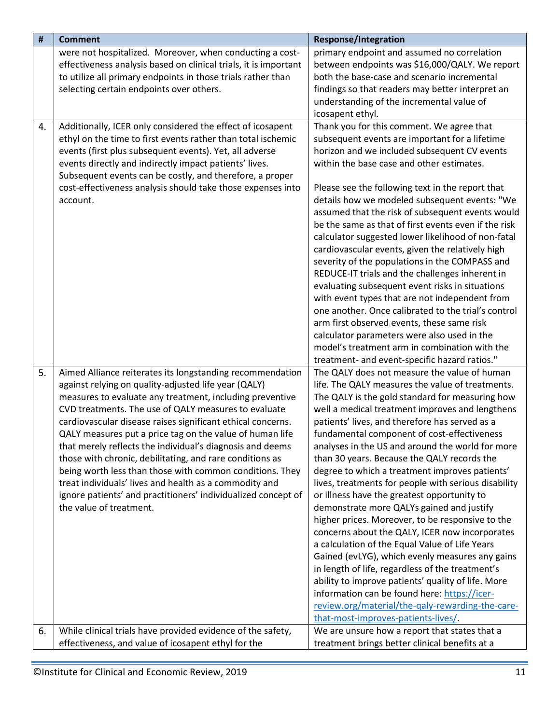| #<br><b>Comment</b><br><b>Response/Integration</b>                                                                                                                                   |  |
|--------------------------------------------------------------------------------------------------------------------------------------------------------------------------------------|--|
| primary endpoint and assumed no correlation<br>were not hospitalized. Moreover, when conducting a cost-                                                                              |  |
| between endpoints was \$16,000/QALY. We report<br>effectiveness analysis based on clinical trials, it is important                                                                   |  |
| to utilize all primary endpoints in those trials rather than<br>both the base-case and scenario incremental                                                                          |  |
| selecting certain endpoints over others.<br>findings so that readers may better interpret an                                                                                         |  |
| understanding of the incremental value of                                                                                                                                            |  |
| icosapent ethyl.                                                                                                                                                                     |  |
| Additionally, ICER only considered the effect of icosapent<br>Thank you for this comment. We agree that<br>4.                                                                        |  |
| ethyl on the time to first events rather than total ischemic<br>subsequent events are important for a lifetime                                                                       |  |
| horizon and we included subsequent CV events<br>events (first plus subsequent events). Yet, all adverse                                                                              |  |
| within the base case and other estimates.<br>events directly and indirectly impact patients' lives.                                                                                  |  |
| Subsequent events can be costly, and therefore, a proper                                                                                                                             |  |
| cost-effectiveness analysis should take those expenses into<br>Please see the following text in the report that                                                                      |  |
| details how we modeled subsequent events: "We<br>account.                                                                                                                            |  |
| assumed that the risk of subsequent events would                                                                                                                                     |  |
| be the same as that of first events even if the risk                                                                                                                                 |  |
| calculator suggested lower likelihood of non-fatal                                                                                                                                   |  |
| cardiovascular events, given the relatively high                                                                                                                                     |  |
| severity of the populations in the COMPASS and                                                                                                                                       |  |
| REDUCE-IT trials and the challenges inherent in                                                                                                                                      |  |
| evaluating subsequent event risks in situations                                                                                                                                      |  |
| with event types that are not independent from                                                                                                                                       |  |
| one another. Once calibrated to the trial's control                                                                                                                                  |  |
| arm first observed events, these same risk                                                                                                                                           |  |
| calculator parameters were also used in the                                                                                                                                          |  |
| model's treatment arm in combination with the                                                                                                                                        |  |
| treatment- and event-specific hazard ratios."                                                                                                                                        |  |
| 5.<br>Aimed Alliance reiterates its longstanding recommendation<br>The QALY does not measure the value of human                                                                      |  |
| against relying on quality-adjusted life year (QALY)<br>life. The QALY measures the value of treatments.                                                                             |  |
| measures to evaluate any treatment, including preventive<br>The QALY is the gold standard for measuring how                                                                          |  |
| CVD treatments. The use of QALY measures to evaluate<br>well a medical treatment improves and lengthens                                                                              |  |
| cardiovascular disease raises significant ethical concerns.<br>patients' lives, and therefore has served as a                                                                        |  |
| QALY measures put a price tag on the value of human life<br>fundamental component of cost-effectiveness                                                                              |  |
| that merely reflects the individual's diagnosis and deems<br>analyses in the US and around the world for more                                                                        |  |
| those with chronic, debilitating, and rare conditions as<br>than 30 years. Because the QALY records the                                                                              |  |
| being worth less than those with common conditions. They<br>degree to which a treatment improves patients'                                                                           |  |
| treat individuals' lives and health as a commodity and<br>lives, treatments for people with serious disability                                                                       |  |
| ignore patients' and practitioners' individualized concept of<br>or illness have the greatest opportunity to<br>the value of treatment.<br>demonstrate more QALYs gained and justify |  |
| higher prices. Moreover, to be responsive to the                                                                                                                                     |  |
| concerns about the QALY, ICER now incorporates                                                                                                                                       |  |
|                                                                                                                                                                                      |  |
| a calculation of the Equal Value of Life Years<br>Gained (evLYG), which evenly measures any gains                                                                                    |  |
| in length of life, regardless of the treatment's                                                                                                                                     |  |
| ability to improve patients' quality of life. More                                                                                                                                   |  |
| information can be found here: https://icer-                                                                                                                                         |  |
| review.org/material/the-qaly-rewarding-the-care-                                                                                                                                     |  |
| that-most-improves-patients-lives/.                                                                                                                                                  |  |
| While clinical trials have provided evidence of the safety,<br>We are unsure how a report that states that a<br>6.                                                                   |  |
|                                                                                                                                                                                      |  |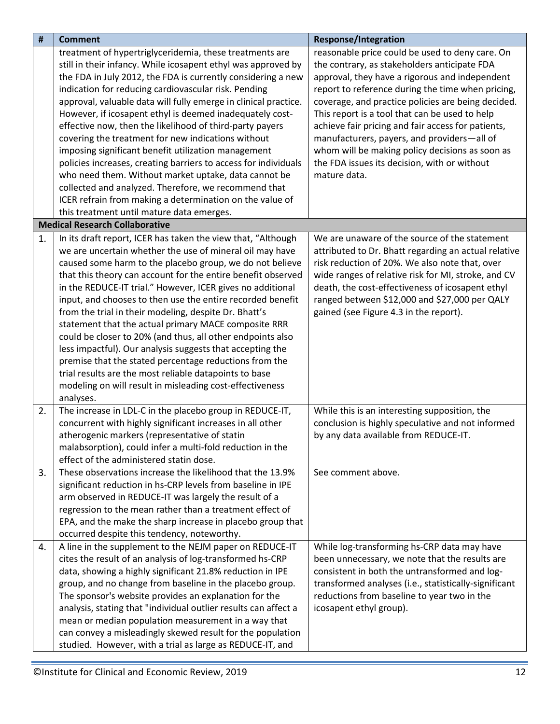<span id="page-11-0"></span>

| $\pmb{\sharp}$ | <b>Comment</b>                                                                                                                                                                                                                                                                                                                                                                                                                                                                                                                                                                                                                                                                                                                                                                                                                                       | <b>Response/Integration</b>                                                                                                                                                                                                                                                                                                                                                                                                                                                                                                            |
|----------------|------------------------------------------------------------------------------------------------------------------------------------------------------------------------------------------------------------------------------------------------------------------------------------------------------------------------------------------------------------------------------------------------------------------------------------------------------------------------------------------------------------------------------------------------------------------------------------------------------------------------------------------------------------------------------------------------------------------------------------------------------------------------------------------------------------------------------------------------------|----------------------------------------------------------------------------------------------------------------------------------------------------------------------------------------------------------------------------------------------------------------------------------------------------------------------------------------------------------------------------------------------------------------------------------------------------------------------------------------------------------------------------------------|
|                | treatment of hypertriglyceridemia, these treatments are<br>still in their infancy. While icosapent ethyl was approved by<br>the FDA in July 2012, the FDA is currently considering a new<br>indication for reducing cardiovascular risk. Pending<br>approval, valuable data will fully emerge in clinical practice.<br>However, if icosapent ethyl is deemed inadequately cost-<br>effective now, then the likelihood of third-party payers<br>covering the treatment for new indications without<br>imposing significant benefit utilization management<br>policies increases, creating barriers to access for individuals<br>who need them. Without market uptake, data cannot be<br>collected and analyzed. Therefore, we recommend that<br>ICER refrain from making a determination on the value of<br>this treatment until mature data emerges. | reasonable price could be used to deny care. On<br>the contrary, as stakeholders anticipate FDA<br>approval, they have a rigorous and independent<br>report to reference during the time when pricing,<br>coverage, and practice policies are being decided.<br>This report is a tool that can be used to help<br>achieve fair pricing and fair access for patients,<br>manufacturers, payers, and providers-all of<br>whom will be making policy decisions as soon as<br>the FDA issues its decision, with or without<br>mature data. |
|                | <b>Medical Research Collaborative</b>                                                                                                                                                                                                                                                                                                                                                                                                                                                                                                                                                                                                                                                                                                                                                                                                                |                                                                                                                                                                                                                                                                                                                                                                                                                                                                                                                                        |
| 1.             | In its draft report, ICER has taken the view that, "Although<br>we are uncertain whether the use of mineral oil may have<br>caused some harm to the placebo group, we do not believe<br>that this theory can account for the entire benefit observed<br>in the REDUCE-IT trial." However, ICER gives no additional<br>input, and chooses to then use the entire recorded benefit<br>from the trial in their modeling, despite Dr. Bhatt's<br>statement that the actual primary MACE composite RRR<br>could be closer to 20% (and thus, all other endpoints also<br>less impactful). Our analysis suggests that accepting the<br>premise that the stated percentage reductions from the<br>trial results are the most reliable datapoints to base<br>modeling on will result in misleading cost-effectiveness<br>analyses.                            | We are unaware of the source of the statement<br>attributed to Dr. Bhatt regarding an actual relative<br>risk reduction of 20%. We also note that, over<br>wide ranges of relative risk for MI, stroke, and CV<br>death, the cost-effectiveness of icosapent ethyl<br>ranged between \$12,000 and \$27,000 per QALY<br>gained (see Figure 4.3 in the report).                                                                                                                                                                          |
| 2.             | The increase in LDL-C in the placebo group in REDUCE-IT,                                                                                                                                                                                                                                                                                                                                                                                                                                                                                                                                                                                                                                                                                                                                                                                             | While this is an interesting supposition, the                                                                                                                                                                                                                                                                                                                                                                                                                                                                                          |
|                | concurrent with highly significant increases in all other                                                                                                                                                                                                                                                                                                                                                                                                                                                                                                                                                                                                                                                                                                                                                                                            | conclusion is highly speculative and not informed                                                                                                                                                                                                                                                                                                                                                                                                                                                                                      |
|                | atherogenic markers (representative of statin                                                                                                                                                                                                                                                                                                                                                                                                                                                                                                                                                                                                                                                                                                                                                                                                        | by any data available from REDUCE-IT.                                                                                                                                                                                                                                                                                                                                                                                                                                                                                                  |
|                | malabsorption), could infer a multi-fold reduction in the                                                                                                                                                                                                                                                                                                                                                                                                                                                                                                                                                                                                                                                                                                                                                                                            |                                                                                                                                                                                                                                                                                                                                                                                                                                                                                                                                        |
| 3.             | effect of the administered statin dose.<br>These observations increase the likelihood that the 13.9%                                                                                                                                                                                                                                                                                                                                                                                                                                                                                                                                                                                                                                                                                                                                                 | See comment above.                                                                                                                                                                                                                                                                                                                                                                                                                                                                                                                     |
|                | significant reduction in hs-CRP levels from baseline in IPE                                                                                                                                                                                                                                                                                                                                                                                                                                                                                                                                                                                                                                                                                                                                                                                          |                                                                                                                                                                                                                                                                                                                                                                                                                                                                                                                                        |
|                | arm observed in REDUCE-IT was largely the result of a                                                                                                                                                                                                                                                                                                                                                                                                                                                                                                                                                                                                                                                                                                                                                                                                |                                                                                                                                                                                                                                                                                                                                                                                                                                                                                                                                        |
|                | regression to the mean rather than a treatment effect of                                                                                                                                                                                                                                                                                                                                                                                                                                                                                                                                                                                                                                                                                                                                                                                             |                                                                                                                                                                                                                                                                                                                                                                                                                                                                                                                                        |
|                | EPA, and the make the sharp increase in placebo group that                                                                                                                                                                                                                                                                                                                                                                                                                                                                                                                                                                                                                                                                                                                                                                                           |                                                                                                                                                                                                                                                                                                                                                                                                                                                                                                                                        |
|                | occurred despite this tendency, noteworthy.                                                                                                                                                                                                                                                                                                                                                                                                                                                                                                                                                                                                                                                                                                                                                                                                          |                                                                                                                                                                                                                                                                                                                                                                                                                                                                                                                                        |
| 4.             | A line in the supplement to the NEJM paper on REDUCE-IT                                                                                                                                                                                                                                                                                                                                                                                                                                                                                                                                                                                                                                                                                                                                                                                              | While log-transforming hs-CRP data may have                                                                                                                                                                                                                                                                                                                                                                                                                                                                                            |
|                | cites the result of an analysis of log-transformed hs-CRP<br>data, showing a highly significant 21.8% reduction in IPE                                                                                                                                                                                                                                                                                                                                                                                                                                                                                                                                                                                                                                                                                                                               | been unnecessary, we note that the results are<br>consistent in both the untransformed and log-                                                                                                                                                                                                                                                                                                                                                                                                                                        |
|                | group, and no change from baseline in the placebo group.                                                                                                                                                                                                                                                                                                                                                                                                                                                                                                                                                                                                                                                                                                                                                                                             | transformed analyses (i.e., statistically-significant                                                                                                                                                                                                                                                                                                                                                                                                                                                                                  |
|                | The sponsor's website provides an explanation for the                                                                                                                                                                                                                                                                                                                                                                                                                                                                                                                                                                                                                                                                                                                                                                                                | reductions from baseline to year two in the                                                                                                                                                                                                                                                                                                                                                                                                                                                                                            |
|                | analysis, stating that "individual outlier results can affect a                                                                                                                                                                                                                                                                                                                                                                                                                                                                                                                                                                                                                                                                                                                                                                                      | icosapent ethyl group).                                                                                                                                                                                                                                                                                                                                                                                                                                                                                                                |
|                | mean or median population measurement in a way that                                                                                                                                                                                                                                                                                                                                                                                                                                                                                                                                                                                                                                                                                                                                                                                                  |                                                                                                                                                                                                                                                                                                                                                                                                                                                                                                                                        |
|                | can convey a misleadingly skewed result for the population                                                                                                                                                                                                                                                                                                                                                                                                                                                                                                                                                                                                                                                                                                                                                                                           |                                                                                                                                                                                                                                                                                                                                                                                                                                                                                                                                        |
|                | studied. However, with a trial as large as REDUCE-IT, and                                                                                                                                                                                                                                                                                                                                                                                                                                                                                                                                                                                                                                                                                                                                                                                            |                                                                                                                                                                                                                                                                                                                                                                                                                                                                                                                                        |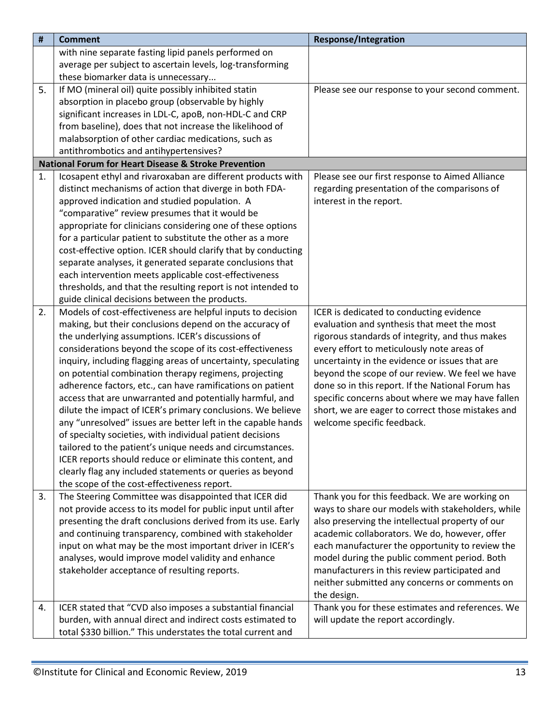<span id="page-12-0"></span>

| #  | <b>Comment</b>                                                  | <b>Response/Integration</b>                       |
|----|-----------------------------------------------------------------|---------------------------------------------------|
|    | with nine separate fasting lipid panels performed on            |                                                   |
|    | average per subject to ascertain levels, log-transforming       |                                                   |
|    | these biomarker data is unnecessary                             |                                                   |
| 5. | If MO (mineral oil) quite possibly inhibited statin             | Please see our response to your second comment.   |
|    | absorption in placebo group (observable by highly               |                                                   |
|    | significant increases in LDL-C, apoB, non-HDL-C and CRP         |                                                   |
|    | from baseline), does that not increase the likelihood of        |                                                   |
|    | malabsorption of other cardiac medications, such as             |                                                   |
|    | antithrombotics and antihypertensives?                          |                                                   |
|    | <b>National Forum for Heart Disease &amp; Stroke Prevention</b> |                                                   |
| 1. | Icosapent ethyl and rivaroxaban are different products with     | Please see our first response to Aimed Alliance   |
|    | distinct mechanisms of action that diverge in both FDA-         | regarding presentation of the comparisons of      |
|    | approved indication and studied population. A                   | interest in the report.                           |
|    | "comparative" review presumes that it would be                  |                                                   |
|    | appropriate for clinicians considering one of these options     |                                                   |
|    | for a particular patient to substitute the other as a more      |                                                   |
|    | cost-effective option. ICER should clarify that by conducting   |                                                   |
|    | separate analyses, it generated separate conclusions that       |                                                   |
|    | each intervention meets applicable cost-effectiveness           |                                                   |
|    | thresholds, and that the resulting report is not intended to    |                                                   |
|    | guide clinical decisions between the products.                  |                                                   |
| 2. | Models of cost-effectiveness are helpful inputs to decision     | ICER is dedicated to conducting evidence          |
|    | making, but their conclusions depend on the accuracy of         | evaluation and synthesis that meet the most       |
|    | the underlying assumptions. ICER's discussions of               | rigorous standards of integrity, and thus makes   |
|    | considerations beyond the scope of its cost-effectiveness       | every effort to meticulously note areas of        |
|    | inquiry, including flagging areas of uncertainty, speculating   | uncertainty in the evidence or issues that are    |
|    | on potential combination therapy regimens, projecting           | beyond the scope of our review. We feel we have   |
|    | adherence factors, etc., can have ramifications on patient      | done so in this report. If the National Forum has |
|    | access that are unwarranted and potentially harmful, and        | specific concerns about where we may have fallen  |
|    | dilute the impact of ICER's primary conclusions. We believe     | short, we are eager to correct those mistakes and |
|    | any "unresolved" issues are better left in the capable hands    | welcome specific feedback.                        |
|    | of specialty societies, with individual patient decisions       |                                                   |
|    | tailored to the patient's unique needs and circumstances.       |                                                   |
|    | ICER reports should reduce or eliminate this content, and       |                                                   |
|    | clearly flag any included statements or queries as beyond       |                                                   |
|    | the scope of the cost-effectiveness report.                     |                                                   |
| 3. | The Steering Committee was disappointed that ICER did           | Thank you for this feedback. We are working on    |
|    | not provide access to its model for public input until after    | ways to share our models with stakeholders, while |
|    | presenting the draft conclusions derived from its use. Early    | also preserving the intellectual property of our  |
|    | and continuing transparency, combined with stakeholder          | academic collaborators. We do, however, offer     |
|    | input on what may be the most important driver in ICER's        | each manufacturer the opportunity to review the   |
|    | analyses, would improve model validity and enhance              | model during the public comment period. Both      |
|    | stakeholder acceptance of resulting reports.                    | manufacturers in this review participated and     |
|    |                                                                 | neither submitted any concerns or comments on     |
|    |                                                                 | the design.                                       |
| 4. | ICER stated that "CVD also imposes a substantial financial      | Thank you for these estimates and references. We  |
|    | burden, with annual direct and indirect costs estimated to      | will update the report accordingly.               |
|    | total \$330 billion." This understates the total current and    |                                                   |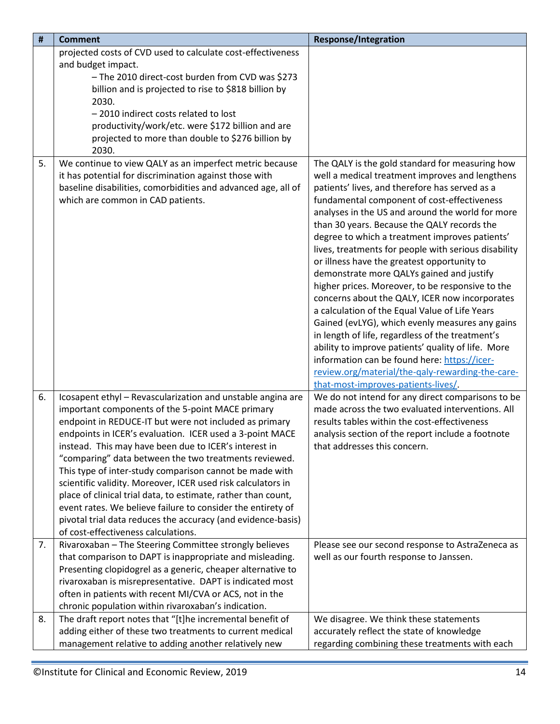| #  | <b>Comment</b>                                                                                                               | <b>Response/Integration</b>                                                         |
|----|------------------------------------------------------------------------------------------------------------------------------|-------------------------------------------------------------------------------------|
|    | projected costs of CVD used to calculate cost-effectiveness                                                                  |                                                                                     |
|    | and budget impact.                                                                                                           |                                                                                     |
|    | - The 2010 direct-cost burden from CVD was \$273                                                                             |                                                                                     |
|    | billion and is projected to rise to \$818 billion by                                                                         |                                                                                     |
|    | 2030.                                                                                                                        |                                                                                     |
|    | -2010 indirect costs related to lost                                                                                         |                                                                                     |
|    | productivity/work/etc. were \$172 billion and are                                                                            |                                                                                     |
|    | projected to more than double to \$276 billion by                                                                            |                                                                                     |
|    | 2030.                                                                                                                        |                                                                                     |
| 5. | We continue to view QALY as an imperfect metric because                                                                      | The QALY is the gold standard for measuring how                                     |
|    | it has potential for discrimination against those with                                                                       | well a medical treatment improves and lengthens                                     |
|    | baseline disabilities, comorbidities and advanced age, all of                                                                | patients' lives, and therefore has served as a                                      |
|    | which are common in CAD patients.                                                                                            | fundamental component of cost-effectiveness                                         |
|    |                                                                                                                              | analyses in the US and around the world for more                                    |
|    |                                                                                                                              | than 30 years. Because the QALY records the                                         |
|    |                                                                                                                              | degree to which a treatment improves patients'                                      |
|    |                                                                                                                              | lives, treatments for people with serious disability                                |
|    |                                                                                                                              | or illness have the greatest opportunity to                                         |
|    |                                                                                                                              | demonstrate more QALYs gained and justify                                           |
|    |                                                                                                                              | higher prices. Moreover, to be responsive to the                                    |
|    |                                                                                                                              | concerns about the QALY, ICER now incorporates                                      |
|    |                                                                                                                              | a calculation of the Equal Value of Life Years                                      |
|    |                                                                                                                              | Gained (evLYG), which evenly measures any gains                                     |
|    |                                                                                                                              | in length of life, regardless of the treatment's                                    |
|    |                                                                                                                              | ability to improve patients' quality of life. More                                  |
|    |                                                                                                                              | information can be found here: https://icer-                                        |
|    |                                                                                                                              | review.org/material/the-galy-rewarding-the-care-                                    |
|    |                                                                                                                              | that-most-improves-patients-lives/.                                                 |
| 6. | Icosapent ethyl - Revascularization and unstable angina are                                                                  | We do not intend for any direct comparisons to be                                   |
|    | important components of the 5-point MACE primary                                                                             | made across the two evaluated interventions. All                                    |
|    | endpoint in REDUCE-IT but were not included as primary                                                                       | results tables within the cost-effectiveness                                        |
|    | endpoints in ICER's evaluation. ICER used a 3-point MACE                                                                     | analysis section of the report include a footnote                                   |
|    | instead. This may have been due to ICER's interest in                                                                        | that addresses this concern.                                                        |
|    | "comparing" data between the two treatments reviewed.                                                                        |                                                                                     |
|    | This type of inter-study comparison cannot be made with                                                                      |                                                                                     |
|    | scientific validity. Moreover, ICER used risk calculators in                                                                 |                                                                                     |
|    | place of clinical trial data, to estimate, rather than count,<br>event rates. We believe failure to consider the entirety of |                                                                                     |
|    | pivotal trial data reduces the accuracy (and evidence-basis)                                                                 |                                                                                     |
|    | of cost-effectiveness calculations.                                                                                          |                                                                                     |
| 7. | Rivaroxaban - The Steering Committee strongly believes                                                                       | Please see our second response to AstraZeneca as                                    |
|    | that comparison to DAPT is inappropriate and misleading.                                                                     | well as our fourth response to Janssen.                                             |
|    |                                                                                                                              |                                                                                     |
|    | Presenting clopidogrel as a generic, cheaper alternative to<br>rivaroxaban is misrepresentative. DAPT is indicated most      |                                                                                     |
|    | often in patients with recent MI/CVA or ACS, not in the                                                                      |                                                                                     |
|    | chronic population within rivaroxaban's indication.                                                                          |                                                                                     |
| 8. | The draft report notes that "[t]he incremental benefit of                                                                    |                                                                                     |
|    | adding either of these two treatments to current medical                                                                     | We disagree. We think these statements<br>accurately reflect the state of knowledge |
|    |                                                                                                                              |                                                                                     |
|    | management relative to adding another relatively new                                                                         | regarding combining these treatments with each                                      |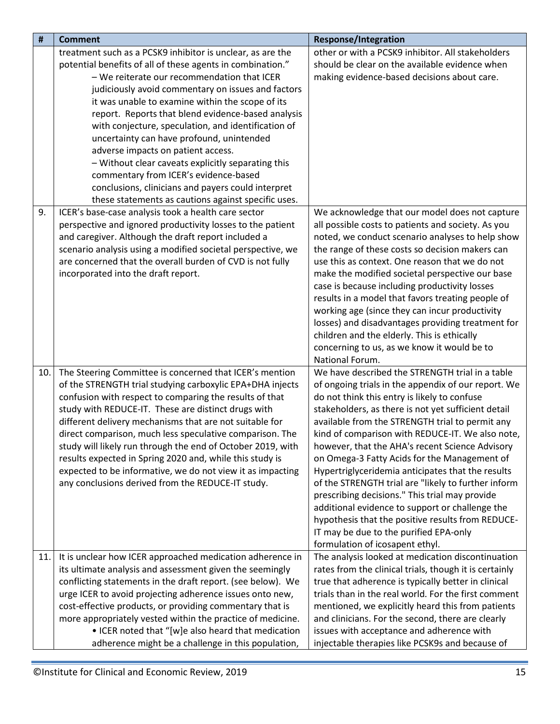| #   | <b>Comment</b>                                              | <b>Response/Integration</b>                            |
|-----|-------------------------------------------------------------|--------------------------------------------------------|
|     | treatment such as a PCSK9 inhibitor is unclear, as are the  | other or with a PCSK9 inhibitor. All stakeholders      |
|     | potential benefits of all of these agents in combination."  | should be clear on the available evidence when         |
|     | - We reiterate our recommendation that ICER                 | making evidence-based decisions about care.            |
|     | judiciously avoid commentary on issues and factors          |                                                        |
|     | it was unable to examine within the scope of its            |                                                        |
|     | report. Reports that blend evidence-based analysis          |                                                        |
|     | with conjecture, speculation, and identification of         |                                                        |
|     | uncertainty can have profound, unintended                   |                                                        |
|     | adverse impacts on patient access.                          |                                                        |
|     | - Without clear caveats explicitly separating this          |                                                        |
|     | commentary from ICER's evidence-based                       |                                                        |
|     | conclusions, clinicians and payers could interpret          |                                                        |
|     | these statements as cautions against specific uses.         |                                                        |
| 9.  | ICER's base-case analysis took a health care sector         | We acknowledge that our model does not capture         |
|     | perspective and ignored productivity losses to the patient  | all possible costs to patients and society. As you     |
|     | and caregiver. Although the draft report included a         | noted, we conduct scenario analyses to help show       |
|     | scenario analysis using a modified societal perspective, we | the range of these costs so decision makers can        |
|     | are concerned that the overall burden of CVD is not fully   | use this as context. One reason that we do not         |
|     | incorporated into the draft report.                         | make the modified societal perspective our base        |
|     |                                                             | case is because including productivity losses          |
|     |                                                             | results in a model that favors treating people of      |
|     |                                                             | working age (since they can incur productivity         |
|     |                                                             | losses) and disadvantages providing treatment for      |
|     |                                                             | children and the elderly. This is ethically            |
|     |                                                             | concerning to us, as we know it would be to            |
|     |                                                             | National Forum.                                        |
| 10. | The Steering Committee is concerned that ICER's mention     | We have described the STRENGTH trial in a table        |
|     | of the STRENGTH trial studying carboxylic EPA+DHA injects   | of ongoing trials in the appendix of our report. We    |
|     | confusion with respect to comparing the results of that     | do not think this entry is likely to confuse           |
|     | study with REDUCE-IT. These are distinct drugs with         | stakeholders, as there is not yet sufficient detail    |
|     | different delivery mechanisms that are not suitable for     | available from the STRENGTH trial to permit any        |
|     | direct comparison, much less speculative comparison. The    | kind of comparison with REDUCE-IT. We also note,       |
|     | study will likely run through the end of October 2019, with | however, that the AHA's recent Science Advisory        |
|     | results expected in Spring 2020 and, while this study is    | on Omega-3 Fatty Acids for the Management of           |
|     | expected to be informative, we do not view it as impacting  | Hypertriglyceridemia anticipates that the results      |
|     | any conclusions derived from the REDUCE-IT study.           | of the STRENGTH trial are "likely to further inform    |
|     |                                                             | prescribing decisions." This trial may provide         |
|     |                                                             | additional evidence to support or challenge the        |
|     |                                                             | hypothesis that the positive results from REDUCE-      |
|     |                                                             | IT may be due to the purified EPA-only                 |
|     |                                                             | formulation of icosapent ethyl.                        |
| 11. | It is unclear how ICER approached medication adherence in   | The analysis looked at medication discontinuation      |
|     | its ultimate analysis and assessment given the seemingly    | rates from the clinical trials, though it is certainly |
|     | conflicting statements in the draft report. (see below). We | true that adherence is typically better in clinical    |
|     | urge ICER to avoid projecting adherence issues onto new,    | trials than in the real world. For the first comment   |
|     | cost-effective products, or providing commentary that is    | mentioned, we explicitly heard this from patients      |
|     | more appropriately vested within the practice of medicine.  | and clinicians. For the second, there are clearly      |
|     | • ICER noted that "[w]e also heard that medication          | issues with acceptance and adherence with              |
|     | adherence might be a challenge in this population,          | injectable therapies like PCSK9s and because of        |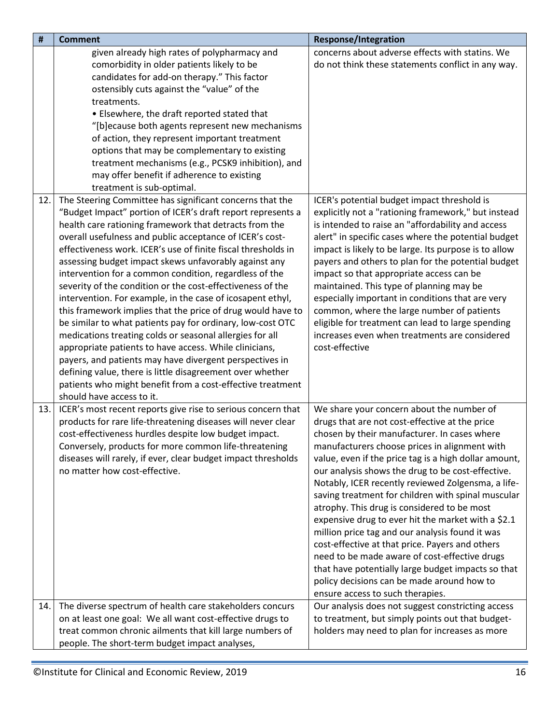| #   | <b>Comment</b>                                                                                                                                                                                                                                                                                                                                                                                                                                                                                                                                                                                                                                                                                                                                                                                                                                                                                                                                                                                                                      | <b>Response/Integration</b>                                                                                                                                                                                                                                                                                                                                                                                                                                                                                                                                                                                                                                                                                                                                                                                                |
|-----|-------------------------------------------------------------------------------------------------------------------------------------------------------------------------------------------------------------------------------------------------------------------------------------------------------------------------------------------------------------------------------------------------------------------------------------------------------------------------------------------------------------------------------------------------------------------------------------------------------------------------------------------------------------------------------------------------------------------------------------------------------------------------------------------------------------------------------------------------------------------------------------------------------------------------------------------------------------------------------------------------------------------------------------|----------------------------------------------------------------------------------------------------------------------------------------------------------------------------------------------------------------------------------------------------------------------------------------------------------------------------------------------------------------------------------------------------------------------------------------------------------------------------------------------------------------------------------------------------------------------------------------------------------------------------------------------------------------------------------------------------------------------------------------------------------------------------------------------------------------------------|
|     | given already high rates of polypharmacy and<br>comorbidity in older patients likely to be<br>candidates for add-on therapy." This factor<br>ostensibly cuts against the "value" of the<br>treatments.<br>• Elsewhere, the draft reported stated that<br>"[b]ecause both agents represent new mechanisms<br>of action, they represent important treatment<br>options that may be complementary to existing<br>treatment mechanisms (e.g., PCSK9 inhibition), and<br>may offer benefit if adherence to existing<br>treatment is sub-optimal.                                                                                                                                                                                                                                                                                                                                                                                                                                                                                         | concerns about adverse effects with statins. We<br>do not think these statements conflict in any way.                                                                                                                                                                                                                                                                                                                                                                                                                                                                                                                                                                                                                                                                                                                      |
| 12. | The Steering Committee has significant concerns that the<br>"Budget Impact" portion of ICER's draft report represents a<br>health care rationing framework that detracts from the<br>overall usefulness and public acceptance of ICER's cost-<br>effectiveness work. ICER's use of finite fiscal thresholds in<br>assessing budget impact skews unfavorably against any<br>intervention for a common condition, regardless of the<br>severity of the condition or the cost-effectiveness of the<br>intervention. For example, in the case of icosapent ethyl,<br>this framework implies that the price of drug would have to<br>be similar to what patients pay for ordinary, low-cost OTC<br>medications treating colds or seasonal allergies for all<br>appropriate patients to have access. While clinicians,<br>payers, and patients may have divergent perspectives in<br>defining value, there is little disagreement over whether<br>patients who might benefit from a cost-effective treatment<br>should have access to it. | ICER's potential budget impact threshold is<br>explicitly not a "rationing framework," but instead<br>is intended to raise an "affordability and access<br>alert" in specific cases where the potential budget<br>impact is likely to be large. Its purpose is to allow<br>payers and others to plan for the potential budget<br>impact so that appropriate access can be<br>maintained. This type of planning may be<br>especially important in conditions that are very<br>common, where the large number of patients<br>eligible for treatment can lead to large spending<br>increases even when treatments are considered<br>cost-effective                                                                                                                                                                            |
| 13. | ICER's most recent reports give rise to serious concern that<br>products for rare life-threatening diseases will never clear<br>cost-effectiveness hurdles despite low budget impact.<br>Conversely, products for more common life-threatening<br>diseases will rarely, if ever, clear budget impact thresholds<br>no matter how cost-effective.                                                                                                                                                                                                                                                                                                                                                                                                                                                                                                                                                                                                                                                                                    | We share your concern about the number of<br>drugs that are not cost-effective at the price<br>chosen by their manufacturer. In cases where<br>manufacturers choose prices in alignment with<br>value, even if the price tag is a high dollar amount,<br>our analysis shows the drug to be cost-effective.<br>Notably, ICER recently reviewed Zolgensma, a life-<br>saving treatment for children with spinal muscular<br>atrophy. This drug is considered to be most<br>expensive drug to ever hit the market with a \$2.1<br>million price tag and our analysis found it was<br>cost-effective at that price. Payers and others<br>need to be made aware of cost-effective drugs<br>that have potentially large budget impacts so that<br>policy decisions can be made around how to<br>ensure access to such therapies. |
| 14. | The diverse spectrum of health care stakeholders concurs<br>on at least one goal: We all want cost-effective drugs to<br>treat common chronic ailments that kill large numbers of<br>people. The short-term budget impact analyses,                                                                                                                                                                                                                                                                                                                                                                                                                                                                                                                                                                                                                                                                                                                                                                                                 | Our analysis does not suggest constricting access<br>to treatment, but simply points out that budget-<br>holders may need to plan for increases as more                                                                                                                                                                                                                                                                                                                                                                                                                                                                                                                                                                                                                                                                    |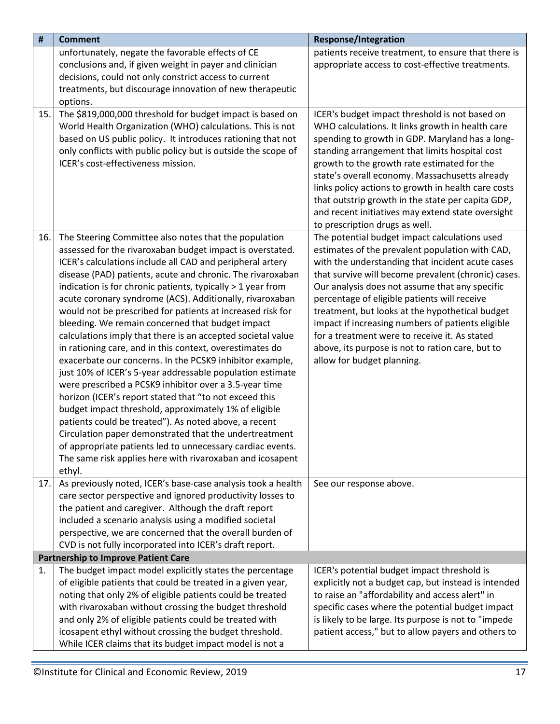<span id="page-16-0"></span>

| #   | <b>Comment</b>                                                                                                         | <b>Response/Integration</b>                                                                         |
|-----|------------------------------------------------------------------------------------------------------------------------|-----------------------------------------------------------------------------------------------------|
|     | unfortunately, negate the favorable effects of CE                                                                      | patients receive treatment, to ensure that there is                                                 |
|     | conclusions and, if given weight in payer and clinician                                                                | appropriate access to cost-effective treatments.                                                    |
|     | decisions, could not only constrict access to current                                                                  |                                                                                                     |
|     | treatments, but discourage innovation of new therapeutic                                                               |                                                                                                     |
|     | options.                                                                                                               |                                                                                                     |
| 15. | The \$819,000,000 threshold for budget impact is based on<br>World Health Organization (WHO) calculations. This is not | ICER's budget impact threshold is not based on                                                      |
|     | based on US public policy. It introduces rationing that not                                                            | WHO calculations. It links growth in health care<br>spending to growth in GDP. Maryland has a long- |
|     | only conflicts with public policy but is outside the scope of                                                          | standing arrangement that limits hospital cost                                                      |
|     | ICER's cost-effectiveness mission.                                                                                     | growth to the growth rate estimated for the                                                         |
|     |                                                                                                                        | state's overall economy. Massachusetts already                                                      |
|     |                                                                                                                        | links policy actions to growth in health care costs                                                 |
|     |                                                                                                                        | that outstrip growth in the state per capita GDP,                                                   |
|     |                                                                                                                        | and recent initiatives may extend state oversight                                                   |
|     |                                                                                                                        | to prescription drugs as well.                                                                      |
| 16. | The Steering Committee also notes that the population                                                                  | The potential budget impact calculations used                                                       |
|     | assessed for the rivaroxaban budget impact is overstated.                                                              | estimates of the prevalent population with CAD,                                                     |
|     | ICER's calculations include all CAD and peripheral artery                                                              | with the understanding that incident acute cases                                                    |
|     | disease (PAD) patients, acute and chronic. The rivaroxaban                                                             | that survive will become prevalent (chronic) cases.                                                 |
|     | indication is for chronic patients, typically > 1 year from                                                            | Our analysis does not assume that any specific                                                      |
|     | acute coronary syndrome (ACS). Additionally, rivaroxaban                                                               | percentage of eligible patients will receive                                                        |
|     | would not be prescribed for patients at increased risk for                                                             | treatment, but looks at the hypothetical budget                                                     |
|     | bleeding. We remain concerned that budget impact                                                                       | impact if increasing numbers of patients eligible                                                   |
|     | calculations imply that there is an accepted societal value                                                            | for a treatment were to receive it. As stated                                                       |
|     | in rationing care, and in this context, overestimates do<br>exacerbate our concerns. In the PCSK9 inhibitor example,   | above, its purpose is not to ration care, but to<br>allow for budget planning.                      |
|     | just 10% of ICER's 5-year addressable population estimate                                                              |                                                                                                     |
|     | were prescribed a PCSK9 inhibitor over a 3.5-year time                                                                 |                                                                                                     |
|     | horizon (ICER's report stated that "to not exceed this                                                                 |                                                                                                     |
|     | budget impact threshold, approximately 1% of eligible                                                                  |                                                                                                     |
|     | patients could be treated"). As noted above, a recent                                                                  |                                                                                                     |
|     | Circulation paper demonstrated that the undertreatment                                                                 |                                                                                                     |
|     | of appropriate patients led to unnecessary cardiac events.                                                             |                                                                                                     |
|     | The same risk applies here with rivaroxaban and icosapent                                                              |                                                                                                     |
|     | ethyl.                                                                                                                 |                                                                                                     |
| 17. | As previously noted, ICER's base-case analysis took a health                                                           | See our response above.                                                                             |
|     | care sector perspective and ignored productivity losses to                                                             |                                                                                                     |
|     | the patient and caregiver. Although the draft report                                                                   |                                                                                                     |
|     | included a scenario analysis using a modified societal<br>perspective, we are concerned that the overall burden of     |                                                                                                     |
|     | CVD is not fully incorporated into ICER's draft report.                                                                |                                                                                                     |
|     | <b>Partnership to Improve Patient Care</b>                                                                             |                                                                                                     |
| 1.  | The budget impact model explicitly states the percentage                                                               | ICER's potential budget impact threshold is                                                         |
|     | of eligible patients that could be treated in a given year,                                                            | explicitly not a budget cap, but instead is intended                                                |
|     | noting that only 2% of eligible patients could be treated                                                              | to raise an "affordability and access alert" in                                                     |
|     | with rivaroxaban without crossing the budget threshold                                                                 | specific cases where the potential budget impact                                                    |
|     | and only 2% of eligible patients could be treated with                                                                 | is likely to be large. Its purpose is not to "impede                                                |
|     | icosapent ethyl without crossing the budget threshold.                                                                 | patient access," but to allow payers and others to                                                  |
|     | While ICER claims that its budget impact model is not a                                                                |                                                                                                     |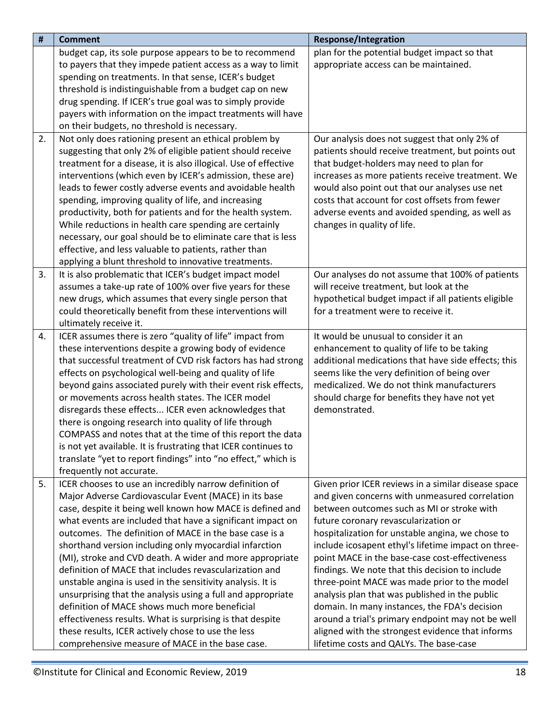| #  | <b>Comment</b>                                                                                                       | Response/Integration                                                                               |
|----|----------------------------------------------------------------------------------------------------------------------|----------------------------------------------------------------------------------------------------|
|    | budget cap, its sole purpose appears to be to recommend                                                              | plan for the potential budget impact so that                                                       |
|    | to payers that they impede patient access as a way to limit                                                          | appropriate access can be maintained.                                                              |
|    | spending on treatments. In that sense, ICER's budget                                                                 |                                                                                                    |
|    | threshold is indistinguishable from a budget cap on new                                                              |                                                                                                    |
|    | drug spending. If ICER's true goal was to simply provide                                                             |                                                                                                    |
|    | payers with information on the impact treatments will have                                                           |                                                                                                    |
|    | on their budgets, no threshold is necessary.                                                                         |                                                                                                    |
| 2. | Not only does rationing present an ethical problem by                                                                | Our analysis does not suggest that only 2% of                                                      |
|    | suggesting that only 2% of eligible patient should receive                                                           | patients should receive treatment, but points out                                                  |
|    | treatment for a disease, it is also illogical. Use of effective                                                      | that budget-holders may need to plan for                                                           |
|    | interventions (which even by ICER's admission, these are)                                                            | increases as more patients receive treatment. We                                                   |
|    | leads to fewer costly adverse events and avoidable health                                                            | would also point out that our analyses use net                                                     |
|    | spending, improving quality of life, and increasing                                                                  | costs that account for cost offsets from fewer                                                     |
|    | productivity, both for patients and for the health system.                                                           | adverse events and avoided spending, as well as                                                    |
|    | While reductions in health care spending are certainly                                                               | changes in quality of life.                                                                        |
|    | necessary, our goal should be to eliminate care that is less                                                         |                                                                                                    |
|    | effective, and less valuable to patients, rather than                                                                |                                                                                                    |
|    | applying a blunt threshold to innovative treatments.                                                                 |                                                                                                    |
| 3. | It is also problematic that ICER's budget impact model                                                               | Our analyses do not assume that 100% of patients                                                   |
|    | assumes a take-up rate of 100% over five years for these                                                             | will receive treatment, but look at the                                                            |
|    | new drugs, which assumes that every single person that                                                               | hypothetical budget impact if all patients eligible                                                |
|    | could theoretically benefit from these interventions will                                                            | for a treatment were to receive it.                                                                |
|    | ultimately receive it.                                                                                               |                                                                                                    |
| 4. | ICER assumes there is zero "quality of life" impact from                                                             | It would be unusual to consider it an                                                              |
|    | these interventions despite a growing body of evidence                                                               | enhancement to quality of life to be taking                                                        |
|    | that successful treatment of CVD risk factors has had strong                                                         | additional medications that have side effects; this                                                |
|    | effects on psychological well-being and quality of life                                                              | seems like the very definition of being over                                                       |
|    | beyond gains associated purely with their event risk effects,                                                        | medicalized. We do not think manufacturers                                                         |
|    | or movements across health states. The ICER model                                                                    | should charge for benefits they have not yet                                                       |
|    | disregards these effects ICER even acknowledges that                                                                 | demonstrated.                                                                                      |
|    | there is ongoing research into quality of life through                                                               |                                                                                                    |
|    | COMPASS and notes that at the time of this report the data                                                           |                                                                                                    |
|    | is not yet available. It is frustrating that ICER continues to                                                       |                                                                                                    |
|    | translate "yet to report findings" into "no effect," which is                                                        |                                                                                                    |
|    | frequently not accurate.                                                                                             |                                                                                                    |
| 5. | ICER chooses to use an incredibly narrow definition of                                                               | Given prior ICER reviews in a similar disease space                                                |
|    | Major Adverse Cardiovascular Event (MACE) in its base                                                                | and given concerns with unmeasured correlation                                                     |
|    | case, despite it being well known how MACE is defined and                                                            | between outcomes such as MI or stroke with                                                         |
|    | what events are included that have a significant impact on<br>outcomes. The definition of MACE in the base case is a | future coronary revascularization or                                                               |
|    |                                                                                                                      | hospitalization for unstable angina, we chose to                                                   |
|    | shorthand version including only myocardial infarction                                                               | include icosapent ethyl's lifetime impact on three-                                                |
|    | (MI), stroke and CVD death. A wider and more appropriate<br>definition of MACE that includes revascularization and   | point MACE in the base-case cost-effectiveness                                                     |
|    |                                                                                                                      | findings. We note that this decision to include                                                    |
|    | unstable angina is used in the sensitivity analysis. It is                                                           | three-point MACE was made prior to the model                                                       |
|    | unsurprising that the analysis using a full and appropriate<br>definition of MACE shows much more beneficial         | analysis plan that was published in the public                                                     |
|    | effectiveness results. What is surprising is that despite                                                            | domain. In many instances, the FDA's decision<br>around a trial's primary endpoint may not be well |
|    | these results, ICER actively chose to use the less                                                                   | aligned with the strongest evidence that informs                                                   |
|    |                                                                                                                      | lifetime costs and QALYs. The base-case                                                            |
|    | comprehensive measure of MACE in the base case.                                                                      |                                                                                                    |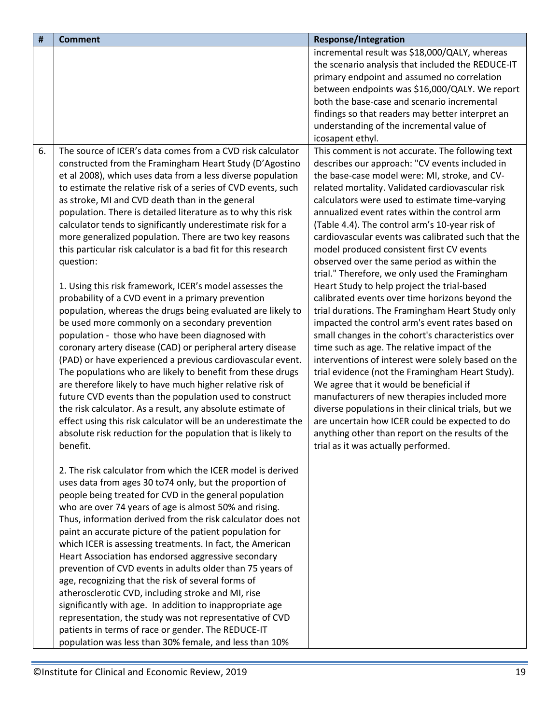| #  | <b>Comment</b>                                                                                                   | <b>Response/Integration</b>                          |
|----|------------------------------------------------------------------------------------------------------------------|------------------------------------------------------|
|    |                                                                                                                  | incremental result was \$18,000/QALY, whereas        |
|    |                                                                                                                  | the scenario analysis that included the REDUCE-IT    |
|    |                                                                                                                  | primary endpoint and assumed no correlation          |
|    |                                                                                                                  | between endpoints was \$16,000/QALY. We report       |
|    |                                                                                                                  | both the base-case and scenario incremental          |
|    |                                                                                                                  | findings so that readers may better interpret an     |
|    |                                                                                                                  | understanding of the incremental value of            |
|    |                                                                                                                  | icosapent ethyl.                                     |
| 6. | The source of ICER's data comes from a CVD risk calculator                                                       | This comment is not accurate. The following text     |
|    | constructed from the Framingham Heart Study (D'Agostino                                                          | describes our approach: "CV events included in       |
|    | et al 2008), which uses data from a less diverse population                                                      | the base-case model were: MI, stroke, and CV-        |
|    | to estimate the relative risk of a series of CVD events, such                                                    | related mortality. Validated cardiovascular risk     |
|    | as stroke, MI and CVD death than in the general                                                                  | calculators were used to estimate time-varying       |
|    | population. There is detailed literature as to why this risk                                                     | annualized event rates within the control arm        |
|    | calculator tends to significantly underestimate risk for a                                                       | (Table 4.4). The control arm's 10-year risk of       |
|    | more generalized population. There are two key reasons                                                           | cardiovascular events was calibrated such that the   |
|    | this particular risk calculator is a bad fit for this research                                                   | model produced consistent first CV events            |
|    | question:                                                                                                        | observed over the same period as within the          |
|    |                                                                                                                  | trial." Therefore, we only used the Framingham       |
|    | 1. Using this risk framework, ICER's model assesses the                                                          | Heart Study to help project the trial-based          |
|    | probability of a CVD event in a primary prevention                                                               | calibrated events over time horizons beyond the      |
|    | population, whereas the drugs being evaluated are likely to                                                      | trial durations. The Framingham Heart Study only     |
|    | be used more commonly on a secondary prevention                                                                  | impacted the control arm's event rates based on      |
|    | population - those who have been diagnosed with                                                                  | small changes in the cohort's characteristics over   |
|    | coronary artery disease (CAD) or peripheral artery disease                                                       | time such as age. The relative impact of the         |
|    | (PAD) or have experienced a previous cardiovascular event.                                                       | interventions of interest were solely based on the   |
|    | The populations who are likely to benefit from these drugs                                                       | trial evidence (not the Framingham Heart Study).     |
|    | are therefore likely to have much higher relative risk of                                                        | We agree that it would be beneficial if              |
|    | future CVD events than the population used to construct                                                          | manufacturers of new therapies included more         |
|    | the risk calculator. As a result, any absolute estimate of                                                       | diverse populations in their clinical trials, but we |
|    | effect using this risk calculator will be an underestimate the                                                   | are uncertain how ICER could be expected to do       |
|    | absolute risk reduction for the population that is likely to                                                     | anything other than report on the results of the     |
|    | benefit.                                                                                                         | trial as it was actually performed.                  |
|    |                                                                                                                  |                                                      |
|    | 2. The risk calculator from which the ICER model is derived                                                      |                                                      |
|    | uses data from ages 30 to74 only, but the proportion of                                                          |                                                      |
|    | people being treated for CVD in the general population<br>who are over 74 years of age is almost 50% and rising. |                                                      |
|    | Thus, information derived from the risk calculator does not                                                      |                                                      |
|    |                                                                                                                  |                                                      |
|    | paint an accurate picture of the patient population for                                                          |                                                      |
|    | which ICER is assessing treatments. In fact, the American                                                        |                                                      |
|    | Heart Association has endorsed aggressive secondary                                                              |                                                      |
|    | prevention of CVD events in adults older than 75 years of                                                        |                                                      |
|    | age, recognizing that the risk of several forms of                                                               |                                                      |
|    | atherosclerotic CVD, including stroke and MI, rise                                                               |                                                      |
|    | significantly with age. In addition to inappropriate age                                                         |                                                      |
|    | representation, the study was not representative of CVD                                                          |                                                      |
|    | patients in terms of race or gender. The REDUCE-IT                                                               |                                                      |
|    | population was less than 30% female, and less than 10%                                                           |                                                      |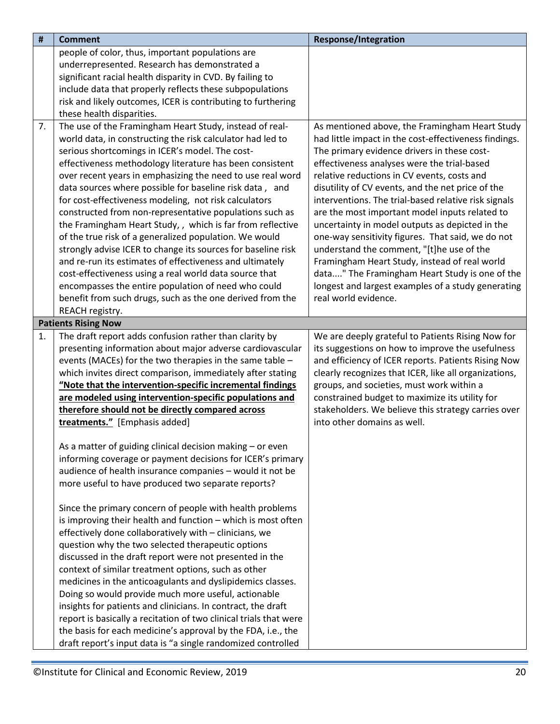<span id="page-19-0"></span>

| #  | <b>Comment</b>                                                                                                                                                                                                                                                                                                                                                                                                                                                                                                                                                                                                                                                                                                                                                                                                                                                                                                                         | <b>Response/Integration</b>                                                                                                                                                                                                                                                                                                                                                                                                                                                                                                                                                                                                                                                                                                                               |
|----|----------------------------------------------------------------------------------------------------------------------------------------------------------------------------------------------------------------------------------------------------------------------------------------------------------------------------------------------------------------------------------------------------------------------------------------------------------------------------------------------------------------------------------------------------------------------------------------------------------------------------------------------------------------------------------------------------------------------------------------------------------------------------------------------------------------------------------------------------------------------------------------------------------------------------------------|-----------------------------------------------------------------------------------------------------------------------------------------------------------------------------------------------------------------------------------------------------------------------------------------------------------------------------------------------------------------------------------------------------------------------------------------------------------------------------------------------------------------------------------------------------------------------------------------------------------------------------------------------------------------------------------------------------------------------------------------------------------|
|    | people of color, thus, important populations are                                                                                                                                                                                                                                                                                                                                                                                                                                                                                                                                                                                                                                                                                                                                                                                                                                                                                       |                                                                                                                                                                                                                                                                                                                                                                                                                                                                                                                                                                                                                                                                                                                                                           |
|    | underrepresented. Research has demonstrated a                                                                                                                                                                                                                                                                                                                                                                                                                                                                                                                                                                                                                                                                                                                                                                                                                                                                                          |                                                                                                                                                                                                                                                                                                                                                                                                                                                                                                                                                                                                                                                                                                                                                           |
|    | significant racial health disparity in CVD. By failing to                                                                                                                                                                                                                                                                                                                                                                                                                                                                                                                                                                                                                                                                                                                                                                                                                                                                              |                                                                                                                                                                                                                                                                                                                                                                                                                                                                                                                                                                                                                                                                                                                                                           |
|    | include data that properly reflects these subpopulations                                                                                                                                                                                                                                                                                                                                                                                                                                                                                                                                                                                                                                                                                                                                                                                                                                                                               |                                                                                                                                                                                                                                                                                                                                                                                                                                                                                                                                                                                                                                                                                                                                                           |
|    | risk and likely outcomes, ICER is contributing to furthering                                                                                                                                                                                                                                                                                                                                                                                                                                                                                                                                                                                                                                                                                                                                                                                                                                                                           |                                                                                                                                                                                                                                                                                                                                                                                                                                                                                                                                                                                                                                                                                                                                                           |
|    | these health disparities.                                                                                                                                                                                                                                                                                                                                                                                                                                                                                                                                                                                                                                                                                                                                                                                                                                                                                                              |                                                                                                                                                                                                                                                                                                                                                                                                                                                                                                                                                                                                                                                                                                                                                           |
| 7. | The use of the Framingham Heart Study, instead of real-<br>world data, in constructing the risk calculator had led to<br>serious shortcomings in ICER's model. The cost-<br>effectiveness methodology literature has been consistent<br>over recent years in emphasizing the need to use real word<br>data sources where possible for baseline risk data, and<br>for cost-effectiveness modeling, not risk calculators<br>constructed from non-representative populations such as<br>the Framingham Heart Study, , which is far from reflective<br>of the true risk of a generalized population. We would<br>strongly advise ICER to change its sources for baseline risk<br>and re-run its estimates of effectiveness and ultimately<br>cost-effectiveness using a real world data source that<br>encompasses the entire population of need who could<br>benefit from such drugs, such as the one derived from the<br>REACH registry. | As mentioned above, the Framingham Heart Study<br>had little impact in the cost-effectiveness findings.<br>The primary evidence drivers in these cost-<br>effectiveness analyses were the trial-based<br>relative reductions in CV events, costs and<br>disutility of CV events, and the net price of the<br>interventions. The trial-based relative risk signals<br>are the most important model inputs related to<br>uncertainty in model outputs as depicted in the<br>one-way sensitivity figures. That said, we do not<br>understand the comment, "[t]he use of the<br>Framingham Heart Study, instead of real world<br>data" The Framingham Heart Study is one of the<br>longest and largest examples of a study generating<br>real world evidence. |
|    |                                                                                                                                                                                                                                                                                                                                                                                                                                                                                                                                                                                                                                                                                                                                                                                                                                                                                                                                        |                                                                                                                                                                                                                                                                                                                                                                                                                                                                                                                                                                                                                                                                                                                                                           |
| 1. | <b>Patients Rising Now</b>                                                                                                                                                                                                                                                                                                                                                                                                                                                                                                                                                                                                                                                                                                                                                                                                                                                                                                             |                                                                                                                                                                                                                                                                                                                                                                                                                                                                                                                                                                                                                                                                                                                                                           |
|    | The draft report adds confusion rather than clarity by<br>presenting information about major adverse cardiovascular<br>events (MACEs) for the two therapies in the same table -<br>which invites direct comparison, immediately after stating<br>"Note that the intervention-specific incremental findings<br>are modeled using intervention-specific populations and<br>therefore should not be directly compared across<br>treatments." [Emphasis added]                                                                                                                                                                                                                                                                                                                                                                                                                                                                             | We are deeply grateful to Patients Rising Now for<br>its suggestions on how to improve the usefulness<br>and efficiency of ICER reports. Patients Rising Now<br>clearly recognizes that ICER, like all organizations,<br>groups, and societies, must work within a<br>constrained budget to maximize its utility for<br>stakeholders. We believe this strategy carries over<br>into other domains as well.                                                                                                                                                                                                                                                                                                                                                |
|    | As a matter of guiding clinical decision making - or even                                                                                                                                                                                                                                                                                                                                                                                                                                                                                                                                                                                                                                                                                                                                                                                                                                                                              |                                                                                                                                                                                                                                                                                                                                                                                                                                                                                                                                                                                                                                                                                                                                                           |
|    | informing coverage or payment decisions for ICER's primary                                                                                                                                                                                                                                                                                                                                                                                                                                                                                                                                                                                                                                                                                                                                                                                                                                                                             |                                                                                                                                                                                                                                                                                                                                                                                                                                                                                                                                                                                                                                                                                                                                                           |
|    | audience of health insurance companies - would it not be                                                                                                                                                                                                                                                                                                                                                                                                                                                                                                                                                                                                                                                                                                                                                                                                                                                                               |                                                                                                                                                                                                                                                                                                                                                                                                                                                                                                                                                                                                                                                                                                                                                           |
|    | more useful to have produced two separate reports?                                                                                                                                                                                                                                                                                                                                                                                                                                                                                                                                                                                                                                                                                                                                                                                                                                                                                     |                                                                                                                                                                                                                                                                                                                                                                                                                                                                                                                                                                                                                                                                                                                                                           |
|    | Since the primary concern of people with health problems<br>is improving their health and function - which is most often<br>effectively done collaboratively with - clinicians, we<br>question why the two selected therapeutic options<br>discussed in the draft report were not presented in the<br>context of similar treatment options, such as other<br>medicines in the anticoagulants and dyslipidemics classes.<br>Doing so would provide much more useful, actionable<br>insights for patients and clinicians. In contract, the draft<br>report is basically a recitation of two clinical trials that were<br>the basis for each medicine's approval by the FDA, i.e., the<br>draft report's input data is "a single randomized controlled                                                                                                                                                                                    |                                                                                                                                                                                                                                                                                                                                                                                                                                                                                                                                                                                                                                                                                                                                                           |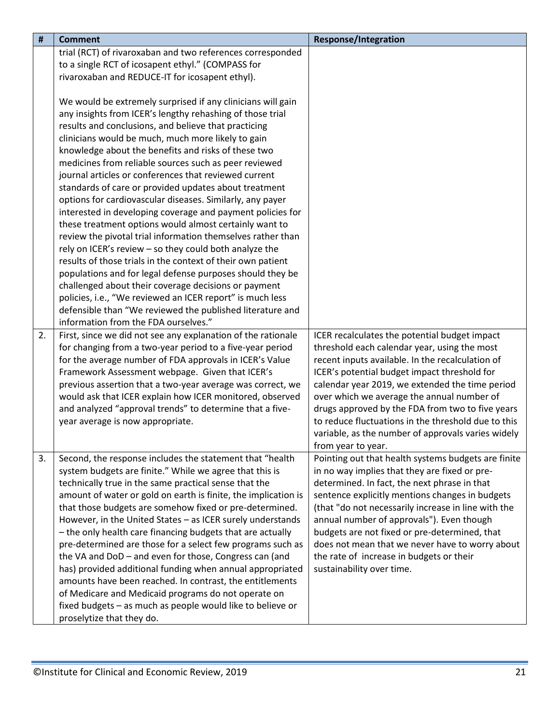| #  | <b>Comment</b>                                                                                                                                                                                                                                                                                                                                                                                                                                                                                                                        | <b>Response/Integration</b>                                                                             |
|----|---------------------------------------------------------------------------------------------------------------------------------------------------------------------------------------------------------------------------------------------------------------------------------------------------------------------------------------------------------------------------------------------------------------------------------------------------------------------------------------------------------------------------------------|---------------------------------------------------------------------------------------------------------|
|    | trial (RCT) of rivaroxaban and two references corresponded                                                                                                                                                                                                                                                                                                                                                                                                                                                                            |                                                                                                         |
|    | to a single RCT of icosapent ethyl." (COMPASS for                                                                                                                                                                                                                                                                                                                                                                                                                                                                                     |                                                                                                         |
|    | rivaroxaban and REDUCE-IT for icosapent ethyl).                                                                                                                                                                                                                                                                                                                                                                                                                                                                                       |                                                                                                         |
|    | We would be extremely surprised if any clinicians will gain<br>any insights from ICER's lengthy rehashing of those trial<br>results and conclusions, and believe that practicing<br>clinicians would be much, much more likely to gain<br>knowledge about the benefits and risks of these two<br>medicines from reliable sources such as peer reviewed<br>journal articles or conferences that reviewed current<br>standards of care or provided updates about treatment<br>options for cardiovascular diseases. Similarly, any payer |                                                                                                         |
|    | interested in developing coverage and payment policies for                                                                                                                                                                                                                                                                                                                                                                                                                                                                            |                                                                                                         |
|    | these treatment options would almost certainly want to<br>review the pivotal trial information themselves rather than                                                                                                                                                                                                                                                                                                                                                                                                                 |                                                                                                         |
|    | rely on ICER's review - so they could both analyze the                                                                                                                                                                                                                                                                                                                                                                                                                                                                                |                                                                                                         |
|    | results of those trials in the context of their own patient                                                                                                                                                                                                                                                                                                                                                                                                                                                                           |                                                                                                         |
|    | populations and for legal defense purposes should they be                                                                                                                                                                                                                                                                                                                                                                                                                                                                             |                                                                                                         |
|    | challenged about their coverage decisions or payment                                                                                                                                                                                                                                                                                                                                                                                                                                                                                  |                                                                                                         |
|    | policies, i.e., "We reviewed an ICER report" is much less                                                                                                                                                                                                                                                                                                                                                                                                                                                                             |                                                                                                         |
|    | defensible than "We reviewed the published literature and                                                                                                                                                                                                                                                                                                                                                                                                                                                                             |                                                                                                         |
| 2. | information from the FDA ourselves."<br>First, since we did not see any explanation of the rationale<br>for changing from a two-year period to a five-year period                                                                                                                                                                                                                                                                                                                                                                     | ICER recalculates the potential budget impact<br>threshold each calendar year, using the most           |
|    | for the average number of FDA approvals in ICER's Value                                                                                                                                                                                                                                                                                                                                                                                                                                                                               | recent inputs available. In the recalculation of                                                        |
|    | Framework Assessment webpage. Given that ICER's                                                                                                                                                                                                                                                                                                                                                                                                                                                                                       | ICER's potential budget impact threshold for                                                            |
|    | previous assertion that a two-year average was correct, we                                                                                                                                                                                                                                                                                                                                                                                                                                                                            | calendar year 2019, we extended the time period                                                         |
|    | would ask that ICER explain how ICER monitored, observed                                                                                                                                                                                                                                                                                                                                                                                                                                                                              | over which we average the annual number of                                                              |
|    | and analyzed "approval trends" to determine that a five-<br>year average is now appropriate.                                                                                                                                                                                                                                                                                                                                                                                                                                          | drugs approved by the FDA from two to five years<br>to reduce fluctuations in the threshold due to this |
|    |                                                                                                                                                                                                                                                                                                                                                                                                                                                                                                                                       | variable, as the number of approvals varies widely                                                      |
|    |                                                                                                                                                                                                                                                                                                                                                                                                                                                                                                                                       | from year to year.                                                                                      |
| 3. | Second, the response includes the statement that "health<br>system budgets are finite." While we agree that this is                                                                                                                                                                                                                                                                                                                                                                                                                   | Pointing out that health systems budgets are finite<br>in no way implies that they are fixed or pre-    |
|    | technically true in the same practical sense that the                                                                                                                                                                                                                                                                                                                                                                                                                                                                                 | determined. In fact, the next phrase in that                                                            |
|    | amount of water or gold on earth is finite, the implication is<br>that those budgets are somehow fixed or pre-determined.                                                                                                                                                                                                                                                                                                                                                                                                             | sentence explicitly mentions changes in budgets<br>(that "do not necessarily increase in line with the  |
|    | However, in the United States - as ICER surely understands                                                                                                                                                                                                                                                                                                                                                                                                                                                                            | annual number of approvals"). Even though                                                               |
|    | - the only health care financing budgets that are actually                                                                                                                                                                                                                                                                                                                                                                                                                                                                            | budgets are not fixed or pre-determined, that                                                           |
|    | pre-determined are those for a select few programs such as                                                                                                                                                                                                                                                                                                                                                                                                                                                                            | does not mean that we never have to worry about                                                         |
|    | the VA and DoD - and even for those, Congress can (and                                                                                                                                                                                                                                                                                                                                                                                                                                                                                | the rate of increase in budgets or their                                                                |
|    | has) provided additional funding when annual appropriated<br>amounts have been reached. In contrast, the entitlements                                                                                                                                                                                                                                                                                                                                                                                                                 | sustainability over time.                                                                               |
|    | of Medicare and Medicaid programs do not operate on                                                                                                                                                                                                                                                                                                                                                                                                                                                                                   |                                                                                                         |
|    | fixed budgets - as much as people would like to believe or                                                                                                                                                                                                                                                                                                                                                                                                                                                                            |                                                                                                         |
|    | proselytize that they do.                                                                                                                                                                                                                                                                                                                                                                                                                                                                                                             |                                                                                                         |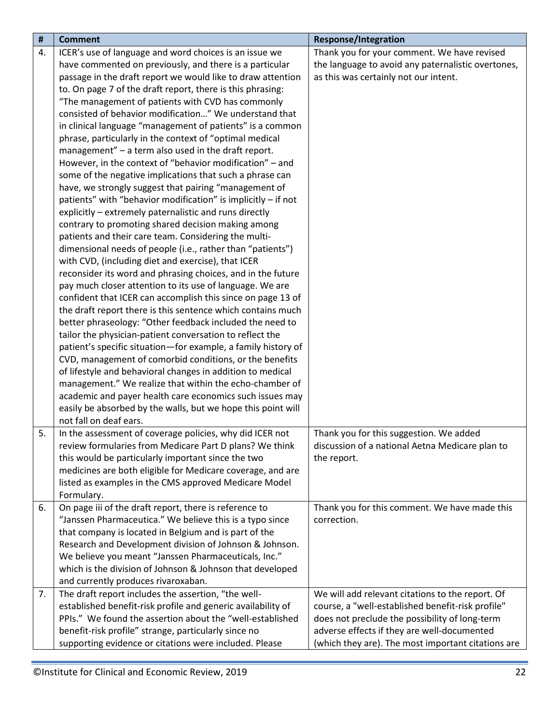| $\pmb{\sharp}$ | <b>Comment</b>                                                                                                   | <b>Response/Integration</b>                        |
|----------------|------------------------------------------------------------------------------------------------------------------|----------------------------------------------------|
| 4.             | ICER's use of language and word choices is an issue we                                                           | Thank you for your comment. We have revised        |
|                | have commented on previously, and there is a particular                                                          | the language to avoid any paternalistic overtones, |
|                | passage in the draft report we would like to draw attention                                                      | as this was certainly not our intent.              |
|                | to. On page 7 of the draft report, there is this phrasing:                                                       |                                                    |
|                | "The management of patients with CVD has commonly                                                                |                                                    |
|                | consisted of behavior modification" We understand that                                                           |                                                    |
|                | in clinical language "management of patients" is a common                                                        |                                                    |
|                | phrase, particularly in the context of "optimal medical                                                          |                                                    |
|                | management" - a term also used in the draft report.                                                              |                                                    |
|                | However, in the context of "behavior modification" - and                                                         |                                                    |
|                | some of the negative implications that such a phrase can                                                         |                                                    |
|                | have, we strongly suggest that pairing "management of                                                            |                                                    |
|                | patients" with "behavior modification" is implicitly - if not                                                    |                                                    |
|                | explicitly - extremely paternalistic and runs directly                                                           |                                                    |
|                | contrary to promoting shared decision making among                                                               |                                                    |
|                | patients and their care team. Considering the multi-                                                             |                                                    |
|                | dimensional needs of people (i.e., rather than "patients")                                                       |                                                    |
|                | with CVD, (including diet and exercise), that ICER                                                               |                                                    |
|                | reconsider its word and phrasing choices, and in the future                                                      |                                                    |
|                | pay much closer attention to its use of language. We are                                                         |                                                    |
|                | confident that ICER can accomplish this since on page 13 of                                                      |                                                    |
|                | the draft report there is this sentence which contains much                                                      |                                                    |
|                | better phraseology: "Other feedback included the need to                                                         |                                                    |
|                | tailor the physician-patient conversation to reflect the                                                         |                                                    |
|                | patient's specific situation-for example, a family history of                                                    |                                                    |
|                | CVD, management of comorbid conditions, or the benefits                                                          |                                                    |
|                | of lifestyle and behavioral changes in addition to medical                                                       |                                                    |
|                | management." We realize that within the echo-chamber of                                                          |                                                    |
|                | academic and payer health care economics such issues may                                                         |                                                    |
|                | easily be absorbed by the walls, but we hope this point will                                                     |                                                    |
|                | not fall on deaf ears.                                                                                           |                                                    |
| 5.             | In the assessment of coverage policies, why did ICER not                                                         | Thank you for this suggestion. We added            |
|                | review formularies from Medicare Part D plans? We think                                                          | discussion of a national Aetna Medicare plan to    |
|                | this would be particularly important since the two<br>medicines are both eligible for Medicare coverage, and are | the report.                                        |
|                | listed as examples in the CMS approved Medicare Model                                                            |                                                    |
|                | Formulary.                                                                                                       |                                                    |
| 6.             | On page iii of the draft report, there is reference to                                                           | Thank you for this comment. We have made this      |
|                | "Janssen Pharmaceutica." We believe this is a typo since                                                         | correction.                                        |
|                | that company is located in Belgium and is part of the                                                            |                                                    |
|                | Research and Development division of Johnson & Johnson.                                                          |                                                    |
|                | We believe you meant "Janssen Pharmaceuticals, Inc."                                                             |                                                    |
|                | which is the division of Johnson & Johnson that developed                                                        |                                                    |
|                | and currently produces rivaroxaban.                                                                              |                                                    |
| 7.             | The draft report includes the assertion, "the well-                                                              | We will add relevant citations to the report. Of   |
|                | established benefit-risk profile and generic availability of                                                     | course, a "well-established benefit-risk profile"  |
|                | PPIs." We found the assertion about the "well-established                                                        | does not preclude the possibility of long-term     |
|                | benefit-risk profile" strange, particularly since no                                                             | adverse effects if they are well-documented        |
|                | supporting evidence or citations were included. Please                                                           | (which they are). The most important citations are |